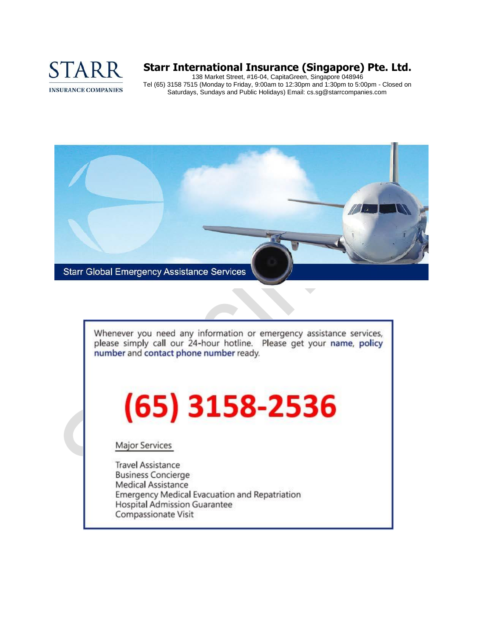

138 Market Street, #16-04, CapitaGreen, Singapore 048946 Tel (65) 3158 7515 (Monday to Friday, 9:00am to 12:30pm and 1:30pm to 5:00pm - Closed on Saturdays, Sundays and Public Holidays) Email[: cs.sg@starrcompanies.com](mailto:cs.sg@starrcompanies.com)



Whenever you need any information or emergency assistance services, please simply call our 24-hour hotline. Please get your name, policy number and contact phone number ready.

# $(65)$  3158-2536

**Major Services** 

**Travel Assistance Business Concierge Medical Assistance** Emergency Medical Evacuation and Repatriation **Hospital Admission Guarantee** Compassionate Visit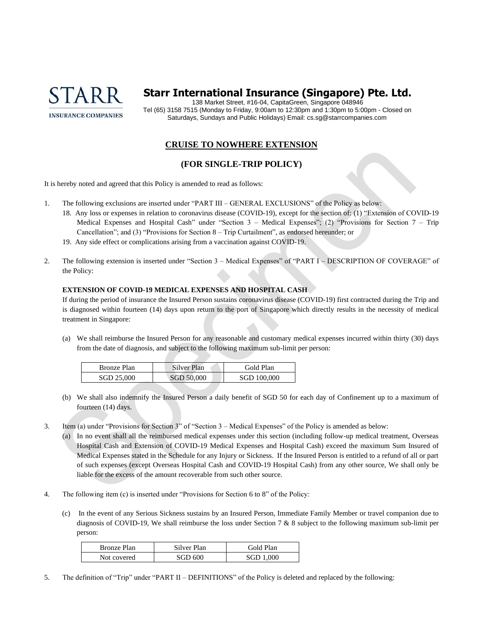

138 Market Street, #16-04, CapitaGreen, Singapore 048946 Tel (65) 3158 7515 (Monday to Friday, 9:00am to 12:30pm and 1:30pm to 5:00pm - Closed on Saturdays, Sundays and Public Holidays) Email[: cs.sg@starrcompanies.com](mailto:cs.sg@starrcompanies.com)

# **CRUISE TO NOWHERE EXTENSION**

# **(FOR SINGLE-TRIP POLICY)**

It is hereby noted and agreed that this Policy is amended to read as follows:

- 1. The following exclusions are inserted under "PART III GENERAL EXCLUSIONS" of the Policy as below:
	- 18. Any loss or expenses in relation to coronavirus disease (COVID-19), except for the section of: (1) "Extension of COVID-19 Medical Expenses and Hospital Cash" under "Section 3 – Medical Expenses"; (2) "Provisions for Section 7 – Trip Cancellation"; and (3) "Provisions for Section 8 – Trip Curtailment", as endorsed hereunder; or
	- 19. Any side effect or complications arising from a vaccination against COVID-19.
- 2. The following extension is inserted under "Section 3 Medical Expenses" of "PART I DESCRIPTION OF COVERAGE" of the Policy:

# **EXTENSION OF COVID-19 MEDICAL EXPENSES AND HOSPITAL CASH**

If during the period of insurance the Insured Person sustains coronavirus disease (COVID-19) first contracted during the Trip and is diagnosed within fourteen (14) days upon return to the port of Singapore which directly results in the necessity of medical treatment in Singapore:

(a) We shall reimburse the Insured Person for any reasonable and customary medical expenses incurred within thirty (30) days from the date of diagnosis, and subject to the following maximum sub-limit per person:

| Bronze Plan | Silver Plan | Gold Plan   |
|-------------|-------------|-------------|
| SGD 25,000  | SGD 50,000  | SGD 100,000 |

- (b) We shall also indemnify the Insured Person a daily benefit of SGD 50 for each day of Confinement up to a maximum of fourteen (14) days.
- 3. Item (a) under "Provisions for Section 3" of "Section 3 Medical Expenses" of the Policy is amended as below:
	- (a) In no event shall all the reimbursed medical expenses under this section (including follow-up medical treatment, Overseas Hospital Cash and Extension of COVID-19 Medical Expenses and Hospital Cash) exceed the maximum Sum Insured of Medical Expenses stated in the Schedule for any Injury or Sickness. If the Insured Person is entitled to a refund of all or part of such expenses (except Overseas Hospital Cash and COVID-19 Hospital Cash) from any other source, We shall only be liable for the excess of the amount recoverable from such other source.
- 4. The following item (c) is inserted under "Provisions for Section 6 to 8" of the Policy:
	- (c) In the event of any Serious Sickness sustains by an Insured Person, Immediate Family Member or travel companion due to diagnosis of COVID-19, We shall reimburse the loss under Section 7 & 8 subject to the following maximum sub-limit per person:

| Bronze Plan | Silver Plan | Gold Plan |
|-------------|-------------|-----------|
| Not covered | SGD 600     | SGD 1.000 |

5. The definition of "Trip" under "PART II – DEFINITIONS" of the Policy is deleted and replaced by the following: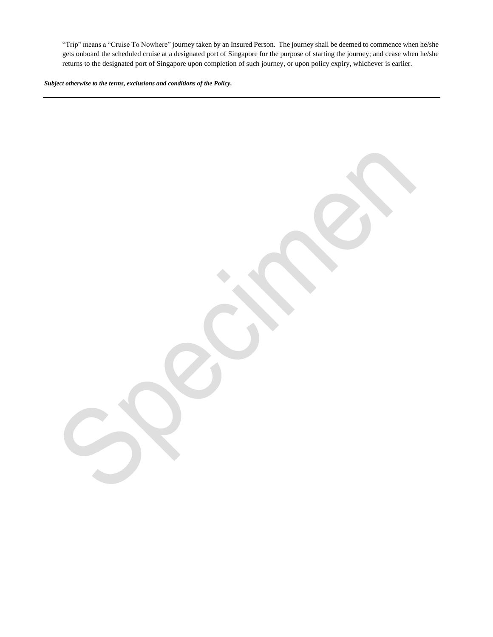"Trip" means a "Cruise To Nowhere" journey taken by an Insured Person. The journey shall be deemed to commence when he/she gets onboard the scheduled cruise at a designated port of Singapore for the purpose of starting the journey; and cease when he/she returns to the designated port of Singapore upon completion of such journey, or upon policy expiry, whichever is earlier.

*Subject otherwise to the terms, exclusions and conditions of the Policy.*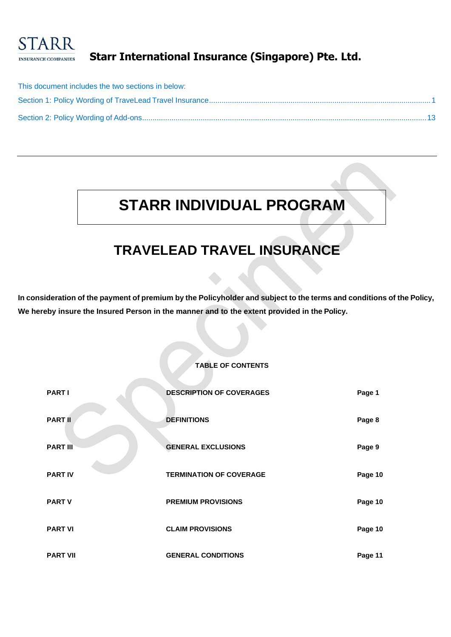

| This document includes the two sections in below: |  |
|---------------------------------------------------|--|
|                                                   |  |
|                                                   |  |

# **STARR INDIVIDUAL PROGRAM**

# **TRAVELEAD TRAVEL INSURANCE**

In consideration of the payment of premium by the Policyholder and subject to the terms and conditions of the Policy, **We hereby insure the Insured Person in the manner and to the extent provided in the Policy.**

# **TABLE OF CONTENTS**

| <b>PART I</b>   | <b>DESCRIPTION OF COVERAGES</b> | Page 1  |
|-----------------|---------------------------------|---------|
| <b>PART</b>     | <b>DEFINITIONS</b>              | Page 8  |
| <b>PART III</b> | <b>GENERAL EXCLUSIONS</b>       | Page 9  |
| <b>PART IV</b>  | <b>TERMINATION OF COVERAGE</b>  | Page 10 |
| <b>PART V</b>   | <b>PREMIUM PROVISIONS</b>       | Page 10 |
| <b>PART VI</b>  | <b>CLAIM PROVISIONS</b>         | Page 10 |
| <b>PART VII</b> | <b>GENERAL CONDITIONS</b>       | Page 11 |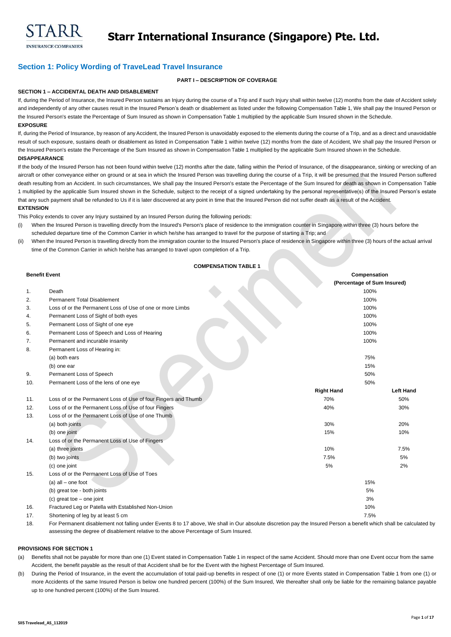

# <span id="page-4-0"></span>**Section 1: Policy Wording of TraveLead Travel Insurance**

# **PART I – DESCRIPTION OF COVERAGE**

# **SECTION 1 – ACCIDENTAL DEATH AND DISABLEMENT**

If, during the Period of Insurance, the Insured Person sustains an Injury during the course of a Trip and if such Injury shall within twelve (12) months from the date of Accident solely and independently of any other causes result in the Insured Person's death or disablement as listed under the following Compensation Table 1, We shall pay the Insured Person or the Insured Person's estate the Percentage of Sum Insured as shown in Compensation Table 1 multiplied by the applicable Sum Insured shown in the Schedule. **EXPOSURE**

If, during the Period of Insurance, by reason of any Accident, the Insured Person is unavoidably exposed to the elements during the course of a Trip, and as a direct and unavoidable result of such exposure, sustains death or disablement as listed in Compensation Table 1 within twelve (12) months from the date of Accident, We shall pay the Insured Person or the Insured Person's estate the Percentage of the Sum Insured as shown in Compensation Table 1 multiplied by the applicable Sum Insured shown in the Schedule. **DISAPPEARANCE**

If the body of the Insured Person has not been found within twelve (12) months after the date, falling within the Period of Insurance, of the disappearance, sinking or wrecking of an aircraft or other conveyance either on ground or at sea in which the Insured Person was travelling during the course of a Trip, it will be presumed that the Insured Person suffered

death resulting from an Accident. In such circumstances, We shall pay the Insured Person's estate the Percentage of the Sum Insured for death as shown in Compensation Table 1 multiplied by the applicable Sum Insured shown in the Schedule, subject to the receipt of a signed undertaking by the personal representative(s) of the Insured Person's estate that any such payment shall be refunded to Us if it is later discovered at any point in time that the Insured Person did not suffer death as a result of the Accident.

# **EXTENSION**

This Policy extends to cover any Injury sustained by an Insured Person during the following periods:

- (i) When the Insured Person is travelling directly from the Insured's Person's place of residence to the immigration counter in Singapore within three (3) hours before the scheduled departure time of the Common Carrier in which he/she has arranged to travel for the purpose of starting a Trip; and
- (ii) When the Insured Person is travelling directly from the immigration counter to the Insured Person's place of residence in Singapore within three (3) hours of the actual arrival time of the Common Carrier in which he/she has arranged to travel upon completion of a Trip.

# **COMPENSATION TABLE 1**

| <b>Benefit Event</b> |                                                                |                   | Compensation                |
|----------------------|----------------------------------------------------------------|-------------------|-----------------------------|
|                      |                                                                |                   | (Percentage of Sum Insured) |
| $\mathbf{1}$ .       | Death                                                          |                   | 100%                        |
| 2.                   | Permanent Total Disablement                                    |                   | 100%                        |
| 3.                   | Loss of or the Permanent Loss of Use of one or more Limbs      |                   | 100%                        |
| 4.                   | Permanent Loss of Sight of both eyes                           |                   | 100%                        |
| 5.                   | Permanent Loss of Sight of one eye                             |                   | 100%                        |
| 6.                   | Permanent Loss of Speech and Loss of Hearing                   |                   | 100%                        |
| 7.                   | Permanent and incurable insanity                               |                   | 100%                        |
| 8.                   | Permanent Loss of Hearing in:                                  |                   |                             |
|                      | (a) both ears                                                  |                   | 75%                         |
|                      | (b) one ear                                                    |                   | 15%                         |
| 9.                   | Permanent Loss of Speech                                       |                   | 50%                         |
| 10.                  | Permanent Loss of the lens of one eye                          |                   | 50%                         |
|                      |                                                                | <b>Right Hand</b> | <b>Left Hand</b>            |
| 11.                  | Loss of or the Permanent Loss of Use of four Fingers and Thumb | 70%               | 50%                         |
| 12.                  | Loss of or the Permanent Loss of Use of four Fingers           | 40%               | 30%                         |
| 13.                  | Loss of or the Permanent Loss of Use of one Thumb              |                   |                             |
|                      | (a) both joints                                                | 30%               | 20%                         |
|                      | (b) one joint                                                  | 15%               | 10%                         |
| 14.                  | Loss of or the Permanent Loss of Use of Fingers                |                   |                             |
|                      | (a) three joints                                               | 10%               | 7.5%                        |
|                      | (b) two joints                                                 | 7.5%              | 5%                          |
|                      | (c) one joint                                                  | 5%                | 2%                          |
| 15.                  | Loss of or the Permanent Loss of Use of Toes                   |                   |                             |
|                      | $(a)$ all $-$ one foot                                         |                   | 15%                         |
|                      | (b) great toe - both joints                                    |                   | 5%                          |
|                      | $(c)$ great toe – one joint                                    |                   | 3%                          |
| 16.                  | Fractured Leg or Patella with Established Non-Union            |                   | 10%                         |
| 17.                  | Shortening of leg by at least 5 cm                             |                   | 7.5%                        |

18. For Permanent disablement not falling under Events 8 to 17 above, We shall in Our absolute discretion pay the Insured Person a benefit which shall be calculated by assessing the degree of disablement relative to the above Percentage of Sum Insured.

# **PROVISIONS FOR SECTION 1**

(a) Benefits shall not be payable for more than one (1) Event stated in Compensation Table 1 in respect of the same Accident. Should more than one Event occur from the same Accident, the benefit payable as the result of that Accident shall be for the Event with the highest Percentage of Sum Insured.

(b) During the Period of Insurance, in the event the accumulation of total paid-up benefits in respect of one (1) or more Events stated in Compensation Table 1 from one (1) or more Accidents of the same Insured Person is below one hundred percent (100%) of the Sum Insured, We thereafter shall only be liable for the remaining balance payable up to one hundred percent (100%) of the Sum Insured.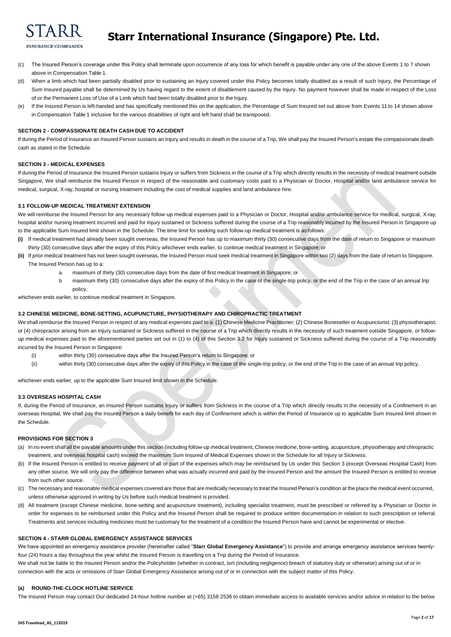

# **Starr International Insurance (Singapore) Pte. Ltd.**

- (c) The Insured Person's coverage under this Policy shall terminate upon occurrence of any loss for which benefit is payable under any one of the above Events 1 to 7 shown above in Compensation Table 1.
- (d) When a limb which had been partially disabled prior to sustaining an Injury covered under this Policy becomes totally disabled as a result of such Injury, the Percentage of Sum Insured payable shall be determined by Us having regard to the extent of disablement caused by the Injury. No payment however shall be made in respect of the Loss of or the Permanent Loss of Use of a Limb which had been totally disabled prior to the Injury.
- (e) If the Insured Person is left-handed and has specifically mentioned this on the application, the Percentage of Sum Insured set out above from Events 11 to 14 shown above in Compensation Table 1 inclusive for the various disabilities of right and left hand shall be transposed.

# **SECTION 2 - COMPASSIONATE DEATH CASH DUE TO ACCIDENT**

If during the Period of Insurance an Insured Person sustains an Injury and results in death in the course of a Trip, We shall pay the Insured Person's estate the compassionate death cash as stated in the Schedule.

# **SECTION 3 - MEDICAL EXPENSES**

If during the Period of Insurance the Insured Person sustains Injury or suffers from Sickness in the course of a Trip which directly results in the necessity of medical treatment outside Singapore, We shall reimburse the Insured Person in respect of the reasonable and customary costs paid to a Physician or Doctor, Hospital and/or land ambulance service for medical, surgical, X-ray, hospital or nursing treatment including the cost of medical supplies and land ambulance hire.

# **3.1 FOLLOW-UP MEDICAL TREATMENT EXTENSION**

We will reimburse the Insured Person for any necessary follow-up medical expenses paid to a Physician or Doctor, Hospital and/or ambulance service for medical, surgical, X-ray, hospital and/or nursing treatment incurred and paid for Injury sustained or Sickness suffered during the course of a Trip reasonably incurred by the Insured Person in Singapore up to the applicable Sum Insured limit shown in the Schedule. The time limit for seeking such follow-up medical treatment is as follows:

- **(i)** If medical treatment had already been sought overseas, the Insured Person has up to maximum thirty (30) consecutive days from the date of return to Singapore or maximum thirty (30) consecutive days after the expiry of this Policy whichever ends earlier, to continue medical treatment in Singapore; or
- **(ii)** If prior medical treatment has not been sought overseas, the Insured Person must seek medical treatment in Singapore within two (2) days from the date of return to Singapore. The Insured Person has up to a:
	- a. maximum of thirty (30) consecutive days from the date of first medical treatment in Singapore; or
	- b. maximum thirty (30) consecutive days after the expiry of this Policy in the case of the single-trip policy, or the end of the Trip in the case of an annual trip policy,

whichever ends earlier, to continue medical treatment in Singapore.

# **3.2 CHINESE MEDICINE, BONE-SETTING, ACUPUNCTURE, PHYSIOTHERAPY AND CHIROPRACTIC TREATMENT**

We shall reimburse the Insured Person in respect of any medical expenses paid to a: (1) Chinese Medicine Practitioner; (2) Chinese Bonesetter or Acupuncturist; (3) physiotherapist; or (4) chiropractor arising from an Injury sustained or Sickness suffered in the course of a Trip which directly results in the necessity of such treatment outside Singapore, or followup medical expenses paid to the aforementioned parties set out in (1) to (4) of this Section 3.2 for Injury sustained or Sickness suffered during the course of a Trip reasonably incurred by the Insured Person in Singapore:

- (i) within thirty (30) consecutive days after the Insured Person's return to Singapore; or
- (ii) within thirty (30) consecutive days after the expiry of this Policy in the case of the single-trip policy, or the end of the Trip in the case of an annual trip policy,

whichever ends earlier, up to the applicable Sum Insured limit shown in the Schedule.

# **3.3 OVERSEAS HOSPITAL CASH**

If, during the Period of Insurance, an Insured Person sustains Injury or suffers from Sickness in the course of a Trip which directly results in the necessity of a Confinement in an overseas Hospital, We shall pay the Insured Person a daily benefit for each day of Confinement which is within the Period of Insurance up to applicable Sum Insured limit shown in the Schedule.

# **PROVISIONS FOR SECTION 3**

- (a) In no event shall all the payable amounts under this section (including follow-up medical treatment, Chinese medicine, bone-setting, acupuncture, physiotherapy and chiropractic treatment, and overseas hospital cash) exceed the maximum Sum Insured of Medical Expenses shown in the Schedule for all Injury or Sickness.
- (b) If the Insured Person is entitled to receive payment of all or part of the expenses which may be reimbursed by Us under this Section 3 (except Overseas Hospital Cash) from any other source, We will only pay the difference between what was actually incurred and paid by the Insured Person and the amount the Insured Person is entitled to receive from such other source.
- (c) The necessary and reasonable medical expenses covered are those that are medically necessary to treat the Insured Person's condition at the place the medical event occurred, unless otherwise approved in writing by Us before such medical treatment is provided.
- (d) All treatment (except Chinese medicine, bone-setting and acupuncture treatment), including specialist treatment, must be prescribed or referred by a Physician or Doctor in order for expenses to be reimbursed under this Policy and the Insured Person shall be required to produce written documentation in relation to such prescription or referral. Treatments and services including medicines must be customary for the treatment of a condition the Insured Person have and cannot be experimental or elective.

# **SECTION 4 - STARR GLOBAL EMERGENCY ASSISTANCE SERVICES**

We have appointed an emergency assistance provider (hereinafter called "**Starr Global Emergency Assistance**") to provide and arrange emergency assistance services twentyfour (24) hours a day throughout the year whilst the Insured Person is travelling on a Trip during the Period of Insurance.

We shall not be liable to the Insured Person and/or the Policyholder (whether in contract, tort (including negligence) breach of statutory duty or otherwise) arising out of or in connection with the acts or omissions of Starr Global Emergency Assistance arising out of or in connection with the subject matter of this Policy.

# **(a) ROUND-THE-CLOCK HOTLINE SERVICE**

The Insured Person may contact Our dedicated 24-hour hotline number at (+65) 3158 2536 to obtain immediate access to available services and/or advice in relation to the below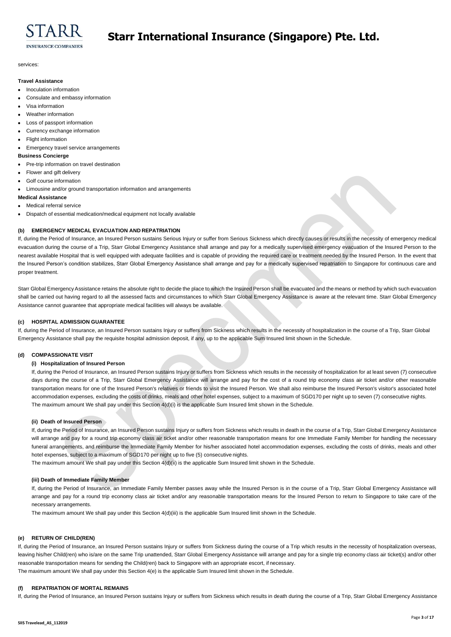

services:

# **Travel Assistance**

- Inoculation information
- Consulate and embassy information
- Visa information
- Weather information
- Loss of passport information
- Currency exchange information
- Flight information

# • Emergency travel service arrangements

- **Business Concierge**
- Pre-trip information on travel destination
- Flower and gift delivery
- Golf course information
- Limousine and/or ground transportation information and arrangements

# **Medical Assistance**

- Medical referral service
- Dispatch of essential medication/medical equipment not locally available

# **(b) EMERGENCY MEDICAL EVACUATION AND REPATRIATION**

If, during the Period of Insurance, an Insured Person sustains Serious Injury or suffer from Serious Sickness which directly causes or results in the necessity of emergency medical evacuation during the course of a Trip, Starr Global Emergency Assistance shall arrange and pay for a medically supervised emergency evacuation of the Insured Person to the nearest available Hospital that is well equipped with adequate facilities and is capable of providing the required care or treatment needed by the Insured Person. In the event that the Insured Person's condition stabilizes, Starr Global Emergency Assistance shall arrange and pay for a medically supervised repatriation to Singapore for continuous care and proper treatment.

Starr Global Emergency Assistance retains the absolute right to decide the place to which the Insured Person shall be evacuated and the means or method by which such evacuation shall be carried out having regard to all the assessed facts and circumstances to which Starr Global Emergency Assistance is aware at the relevant time. Starr Global Emergency Assistance cannot guarantee that appropriate medical facilities will always be available.

# **(c) HOSPITAL ADMISSION GUARANTEE**

If, during the Period of Insurance, an Insured Person sustains Injury or suffers from Sickness which results in the necessity of hospitalization in the course of a Trip, Starr Global Emergency Assistance shall pay the requisite hospital admission deposit, if any, up to the applicable Sum Insured limit shown in the Schedule.

# **(d) COMPASSIONATE VISIT**

# **(i) Hospitalization of Insured Person**

If, during the Period of Insurance, an Insured Person sustains Injury or suffers from Sickness which results in the necessity of hospitalization for at least seven (7) consecutive days during the course of a Trip, Starr Global Emergency Assistance will arrange and pay for the cost of a round trip economy class air ticket and/or other reasonable transportation means for one of the Insured Person's relatives or friends to visit the Insured Person. We shall also reimburse the Insured Person's visitor's associated hotel accommodation expenses, excluding the costs of drinks, meals and other hotel expenses, subject to a maximum of SGD170 per night up to seven (7) consecutive nights. The maximum amount We shall pay under this Section 4(d)(i) is the applicable Sum Insured limit shown in the Schedule.

# **(ii) Death of Insured Person**

If, during the Period of Insurance, an Insured Person sustains Injury or suffers from Sickness which results in death in the course of a Trip, Starr Global Emergency Assistance will arrange and pay for a round trip economy class air ticket and/or other reasonable transportation means for one Immediate Family Member for handling the necessary funeral arrangements, and reimburse the Immediate Family Member for his/her associated hotel accommodation expenses, excluding the costs of drinks, meals and other hotel expenses, subject to a maximum of SGD170 per night up to five (5) consecutive nights.

The maximum amount We shall pay under this Section 4(d)(ii) is the applicable Sum Insured limit shown in the Schedule.

# **(iii) Death of Immediate Family Member**

If, during the Period of Insurance, an Immediate Family Member passes away while the Insured Person is in the course of a Trip, Starr Global Emergency Assistance will arrange and pay for a round trip economy class air ticket and/or any reasonable transportation means for the Insured Person to return to Singapore to take care of the necessary arrangements.

The maximum amount We shall pay under this Section 4(d)(iii) is the applicable Sum Insured limit shown in the Schedule.

# **(e) RETURN OF CHILD(REN)**

If, during the Period of Insurance, an Insured Person sustains Injury or suffers from Sickness during the course of a Trip which results in the necessity of hospitalization overseas, leaving his/her Child(ren) who is/are on the same Trip unattended, Starr Global Emergency Assistance will arrange and pay for a single trip economy class air ticket(s) and/or other reasonable transportation means for sending the Child(ren) back to Singapore with an appropriate escort, if necessary.

The maximum amount We shall pay under this Section 4(e) is the applicable Sum Insured limit shown in the Schedule.

# **(f) REPATRIATION OF MORTAL REMAINS**

If, during the Period of Insurance, an Insured Person sustains Injury or suffers from Sickness which results in death during the course of a Trip, Starr Global Emergency Assistance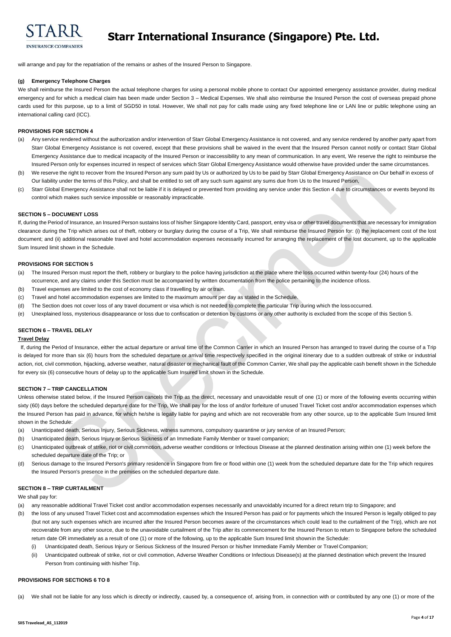

will arrange and pay for the repatriation of the remains or ashes of the Insured Person to Singapore.

# **(g) Emergency Telephone Charges**

We shall reimburse the Insured Person the actual telephone charges for using a personal mobile phone to contact Our appointed emergency assistance provider, during medical emergency and for which a medical claim has been made under Section 3 - Medical Expenses. We shall also reimburse the Insured Person the cost of overseas prepaid phone cards used for this purpose, up to a limit of SGD50 in total. However, We shall not pay for calls made using any fixed telephone line or LAN line or public telephone using an international calling card (ICC).

# **PROVISIONS FOR SECTION 4**

- (a) Any service rendered without the authorization and/or intervention of Starr Global Emergency Assistance is not covered, and any service rendered by another party apart from Starr Global Emergency Assistance is not covered, except that these provisions shall be waived in the event that the Insured Person cannot notify or contact Starr Global Emergency Assistance due to medical incapacity of the Insured Person or inaccessibility to any mean of communication. In any event, We reserve the right to reimburse the Insured Person only for expenses incurred in respect of services which Starr Global Emergency Assistance would otherwise have provided under the same circumstances.
- (b) We reserve the right to recover from the Insured Person any sum paid by Us or authorized by Us to be paid by Starr Global Emergency Assistance on Our behalf in excess of Our liability under the terms of this Policy, and shall be entitled to set off any such sum against any sums due from Us to the Insured Person,
- (c) Starr Global Emergency Assistance shall not be liable if it is delayed or prevented from providing any service under this Section 4 due to circumstances or events beyond its control which makes such service impossible or reasonably impracticable.

# **SECTION 5 – DOCUMENT LOSS**

If, during the Period of Insurance, an Insured Person sustains loss of his/her Singapore Identity Card, passport, entry visa or other travel documents that are necessary for immigration clearance during the Trip which arises out of theft, robbery or burglary during the course of a Trip, We shall reimburse the Insured Person for: (i) the replacement cost of the lost document; and (ii) additional reasonable travel and hotel accommodation expenses necessarily incurred for arranging the replacement of the lost document, up to the applicable Sum Insured limit shown in the Schedule.

# **PROVISIONS FOR SECTION 5**

- (a) The Insured Person must report the theft, robbery or burglary to the police having jurisdiction at the place where the loss occurred within twenty-four (24) hours of the occurrence, and any claims under this Section must be accompanied by written documentation from the police pertaining to the incidence ofloss.
- (b) Travel expenses are limited to the cost of economy class if travelling by air or train.
- (c) Travel and hotel accommodation expenses are limited to the maximum amount per day as stated in the Schedule.
- (d) The Section does not cover loss of any travel document or visa which is not needed to complete the particular Trip during which the lossoccurred.
- (e) Unexplained loss, mysterious disappearance or loss due to confiscation or detention by customs or any other authority is excluded from the scope of this Section 5.

# **SECTION 6 – TRAVEL DELAY**

# **Travel Delay**

If, during the Period of Insurance, either the actual departure or arrival time of the Common Carrier in which an Insured Person has arranged to travel during the course of a Trip is delayed for more than six (6) hours from the scheduled departure or arrival time respectively specified in the original itinerary due to a sudden outbreak of strike or industrial action, riot, civil commotion, hijacking, adverse weather, natural disaster or mechanical fault of the Common Carrier, We shall pay the applicable cash benefit shown in the Schedule for every six (6) consecutive hours of delay up to the applicable Sum Insured limit shown in the Schedule.

#### **SECTION 7 – TRIP CANCELLATION**

Unless otherwise stated below, if the Insured Person cancels the Trip as the direct, necessary and unavoidable result of one (1) or more of the following events occurring within sixty (60) days before the scheduled departure date for the Trip, We shall pay for the loss of and/or forfeiture of unused Travel Ticket cost and/or accommodation expenses which the Insured Person has paid in advance, for which he/she is legally liable for paying and which are not recoverable from any other source, up to the applicable Sum Insured limit shown in the Schedule:

- (a) Unanticipated death, Serious Injury, Serious Sickness, witness summons, compulsory quarantine or jury service of an Insured Person;
- (b) Unanticipated death, Serious Injury or Serious Sickness of an Immediate Family Member or travel companion;
- (c) Unanticipated outbreak of strike, riot or civil commotion, adverse weather conditions or Infectious Disease at the planned destination arising within one (1) week before the scheduled departure date of the Trip; or
- (d) Serious damage to the Insured Person's primary residence in Singapore from fire or flood within one (1) week from the scheduled departure date for the Trip which requires the Insured Person's presence in the premises on the scheduled departure date.

#### **SECTION 8 – TRIP CURTAILMENT**

We shall pay for:

- (a) any reasonable additional Travel Ticket cost and/or accommodation expenses necessarily and unavoidably incurred for a direct return trip to Singapore; and
- (b) the loss of any unused Travel Ticket cost and accommodation expenses which the Insured Person has paid or for payments which the Insured Person is legally obliged to pay (but not any such expenses which are incurred after the Insured Person becomes aware of the circumstances which could lead to the curtailment of the Trip), which are not recoverable from any other source, due to the unavoidable curtailment of the Trip after its commencement for the Insured Person to return to Singapore before the scheduled return date OR immediately as a result of one (1) or more of the following, up to the applicable Sum Insured limit shownin the Schedule:
	- (i) Unanticipated death, Serious Injury or Serious Sickness of the Insured Person or his/her Immediate Family Member or Travel Companion;
	- (ii) Unanticipated outbreak of strike, riot or civil commotion, Adverse Weather Conditions or Infectious Disease(s) at the planned destination which prevent the Insured Person from continuing with his/her Trip.

# **PROVISIONS FOR SECTIONS 6 TO 8**

(a) We shall not be liable for any loss which is directly or indirectly, caused by, a consequence of, arising from, in connection with or contributed by any one (1) or more of the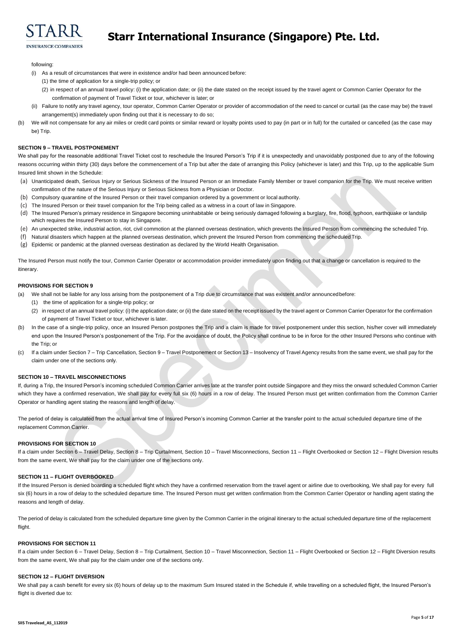

# **Starr International Insurance (Singapore) Pte. Ltd.**

following:

- (i) As a result of circumstances that were in existence and/or had been announced before:
	- (1) the time of application for a single-trip policy; or
	- (2) in respect of an annual travel policy: (i) the application date; or (ii) the date stated on the receipt issued by the travel agent or Common Carrier Operator for the confirmation of payment of Travel Ticket or tour, whichever is later; or
- (ii) Failure to notify any travel agency, tour operator, Common Carrier Operator or provider of accommodation of the need to cancel or curtail (as the case may be) the travel arrangement(s) immediately upon finding out that it is necessary to do so;
- (b) We will not compensate for any air miles or credit card points or similar reward or loyalty points used to pay (in part or in full) for the curtailed or cancelled (as the case may be) Trip.

# **SECTION 9 – TRAVEL POSTPONEMENT**

We shall pay for the reasonable additional Travel Ticket cost to reschedule the Insured Person's Trip if it is unexpectedly and unavoidably postponed due to any of the following reasons occurring within thirty (30) days before the commencement of a Trip but after the date of arranging this Policy (whichever is later) and this Trip, up to the applicable Sum Insured limit shown in the Schedule:

- (a) Unanticipated death, Serious Injury or Serious Sickness of the Insured Person or an Immediate Family Member or travel companion for the Trip. We must receive written confirmation of the nature of the Serious Injury or Serious Sickness from a Physician or Doctor.
- (b) Compulsory quarantine of the Insured Person or their travel companion ordered by a government or local authority.
- (c) The Insured Person or their travel companion for the Trip being called as a witness in a court of law in Singapore.
- (d) The Insured Person's primary residence in Singapore becoming uninhabitable or being seriously damaged following a burglary, fire, flood, typhoon, earthquake or landslip which requires the Insured Person to stay in Singapore.
- (e) An unexpected strike, industrial action, riot, civil commotion at the planned overseas destination, which prevents the Insured Person from commencing the scheduled Trip.
- (f) Natural disasters which happen at the planned overseas destination, which prevent the Insured Person from commencing the scheduledTrip.
- (g) Epidemic or pandemic at the planned overseas destination as declared by the World Health Organisation.

The Insured Person must notify the tour, Common Carrier Operator or accommodation provider immediately upon finding out that a change or cancellation is required to the itinerary.

# **PROVISIONS FOR SECTION 9**

(a) We shall not be liable for any loss arising from the postponement of a Trip due to circumstance that was existent and/or announcedbefore:

- (1) the time of application for a single-trip policy; or
- (2) in respect of an annual travel policy: (i) the application date; or (ii) the date stated on the receipt issued by the travel agent or Common Carrier Operator for the confirmation of payment of Travel Ticket or tour, whichever is later.
- (b) In the case of a single-trip policy, once an Insured Person postpones the Trip and a claim is made for travel postponement under this section, his/her cover will immediately end upon the Insured Person's postponement of the Trip. For the avoidance of doubt, the Policy shall continue to be in force for the other Insured Persons who continue with the Trip; or
- (c) If a claim under Section 7 Trip Cancellation, Section 9 Travel Postponement or Section 13 Insolvency of Travel Agency results from the same event, we shall pay for the claim under one of the sections only.

# **SECTION 10 – TRAVEL MISCONNECTIONS**

If, during a Trip, the Insured Person's incoming scheduled Common Carrier arrives late at the transfer point outside Singapore and they miss the onward scheduled Common Carrier which they have a confirmed reservation, We shall pay for every full six (6) hours in a row of delay. The Insured Person must get written confirmation from the Common Carrier Operator or handling agent stating the reasons and length of delay.

The period of delay is calculated from the actual arrival time of Insured Person's incoming Common Carrier at the transfer point to the actual scheduled departure time of the replacement Common Carrier.

# **PROVISIONS FOR SECTION 10**

If a claim under Section 6 – Travel Delay, Section 8 – Trip Curtailment, Section 10 – Travel Misconnections, Section 11 – Flight Overbooked or Section 12 – Flight Diversion results from the same event, We shall pay for the claim under one of the sections only.

# **SECTION 11 – FLIGHT OVERBOOKED**

If the Insured Person is denied boarding a scheduled flight which they have a confirmed reservation from the travel agent or airline due to overbooking, We shall pay for every full six (6) hours in a row of delay to the scheduled departure time. The Insured Person must get written confirmation from the Common Carrier Operator or handling agent stating the reasons and length of delay.

The period of delay is calculated from the scheduled departure time given by the Common Carrier in the original itinerary to the actual scheduled departure time of the replacement flight.

# **PROVISIONS FOR SECTION 11**

If a claim under Section 6 – Travel Delay, Section 8 – Trip Curtailment, Section 10 – Travel Misconnection, Section 11 – Flight Overbooked or Section 12 – Flight Diversion results from the same event, We shall pay for the claim under one of the sections only.

# **SECTION 12 – FLIGHT DIVERSION**

We shall pay a cash benefit for every six (6) hours of delay up to the maximum Sum Insured stated in the Schedule if, while travelling on a scheduled flight, the Insured Person's flight is diverted due to: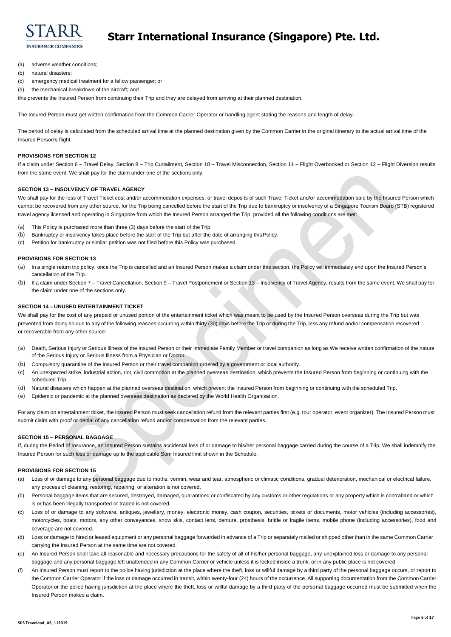

# **Starr International Insurance (Singapore) Pte. Ltd.**

- (a) adverse weather conditions;
- (b) natural disasters;
- (c) emergency medical treatment for a fellow passenger; or
- (d) the mechanical breakdown of the aircraft; and

this prevents the Insured Person from continuing their Trip and they are delayed from arriving at their planned destination.

The Insured Person must get written confirmation from the Common Carrier Operator or handling agent stating the reasons and length of delay.

The period of delay is calculated from the scheduled arrival time at the planned destination given by the Common Carrier in the original itinerary to the actual arrival time of the Insured Person's flight.

# **PROVISIONS FOR SECTION 12**

If a claim under Section 6 – Travel Delay, Section 8 – Trip Curtailment, Section 10 – Travel Misconnection, Section 11 – Flight Overbooked or Section 12 – Flight Diversion results from the same event, We shall pay for the claim under one of the sections only.

# **SECTION 13 – INSOLVENCY OF TRAVEL AGENCY**

We shall pay for the loss of Travel Ticket cost and/or accommodation expenses, or travel deposits of such Travel Ticket and/or accommodation paid by the Insured Person which cannot be recovered from any other source, for the Trip being cancelled before the start of the Trip due to bankruptcy or insolvency of a Singapore Tourism Board (STB) registered travel agency licensed and operating in Singapore from which the Insured Person arranged the Trip, provided all the following conditions are met:

- (a) This Policy is purchased more than three (3) days before the start of the Trip.
- (b) Bankruptcy or insolvency takes place before the start of the Trip but after the date of arranging this Policy.<br>(c) Petition for bankruptcy or similar petition was not filed before this Policy was purchased.
- Petition for bankruptcy or similar petition was not filed before this Policy was purchased.

# **PROVISIONS FOR SECTION 13**

- (a) In a single return trip policy, once the Trip is cancelled and an Insured Person makes a claim under this section, the Policy will immediately end upon the Insured Person's cancellation of the Trip.
- (b) If a claim under Section 7 Travel Cancellation, Section 9 Travel Postponement or Section 13 Insolvency of Travel Agency, results from the same event, We shall pay for the claim under one of the sections only.

# **SECTION 14 – UNUSED ENTERTAINMENT TICKET**

We shall pay for the cost of any prepaid or unused portion of the entertainment ticket which was meant to be used by the Insured Person overseas during the Trip but was prevented from doing so due to any of the following reasons occurring within thirty (30) days before the Trip or during the Trip, less any refund and/or compensation recovered or recoverable from any other source:

- (a) Death, Serious Injury or Serious Illness of the Insured Person or their Immediate Family Member or travel companion as long as We receive written confirmation of the nature of the Serious Injury or Serious Illness from a Physician or Doctor.
- (b) Compulsory quarantine of the Insured Person or their travel companion ordered by a government or local authority.
- (c) An unexpected strike, industrial action, riot, civil commotion at the planned overseas destination, which prevents the Insured Person from beginning or continuing with the scheduled Trip.
- (d) Natural disasters which happen at the planned overseas destination, which prevent the Insured Person from beginning or continuing with the scheduled Trip.
- (e) Epidemic or pandemic at the planned overseas destination as declared by the World Health Organisation.

For any claim on entertainment ticket, the Insured Person must seek cancellation refund from the relevant parties first (e.g. tour operator, event organizer). The Insured Person must submit claim with proof or denial of any cancellation refund and/or compensation from the relevant parties.

# **SECTION 15 – PERSONAL BAGGAGE**

If, during the Period of Insurance, an Insured Person sustains accidental loss of or damage to his/her personal baggage carried during the course of a Trip, We shall indemnify the Insured Person for such loss or damage up to the applicable Sum Insured limit shown in the Schedule.

# **PROVISIONS FOR SECTION 15**

- (a) Loss of or damage to any personal baggage due to moths, vermin, wear and tear, atmospheric or climatic conditions, gradual deterioration, mechanical or electrical failure, any process of cleaning, restoring, repairing, or alteration is not covered.
- (b) Personal baggage items that are secured, destroyed, damaged, quarantined or confiscated by any customs or other regulations or any property which is contraband or which is or has been illegally transported or traded is not covered.
- (c) Loss of or damage to any software, antiques, jewellery, money, electronic money, cash coupon, securities, tickets or documents, motor vehicles (including accessories), motorcycles, boats, motors, any other conveyances, snow skis, contact lens, denture, prosthesis, brittle or fragile items, mobile phone (including accessories), food and beverage are not covered.
- (d) Loss or damage to hired or leased equipment or any personal baggage forwarded in advance of a Trip or separately mailed or shipped other than in the same Common Carrier carrying the Insured Person at the same time are not covered.
- (e) An Insured Person shall take all reasonable and necessary precautions for the safety of all of his/her personal baggage, any unexplained loss or damage to any personal baggage and any personal baggage left unattended in any Common Carrier or vehicle unless it is locked inside a trunk, or in any public place is not covered.
- (f) An Insured Person must report to the police having jurisdiction at the place where the theft, loss or willful damage by a third party of the personal baggage occurs, or report to the Common Carrier Operator if the loss or damage occurred in transit, within twenty-four (24) hours of the occurrence. All supporting documentation from the Common Carrier Operator or the police having jurisdiction at the place where the theft, loss or willful damage by a third party of the personal baggage occurred must be submitted when the Insured Person makes a claim.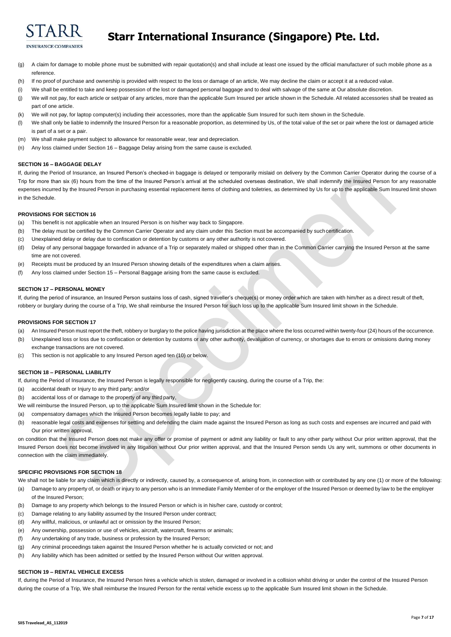

- (g) A claim for damage to mobile phone must be submitted with repair quotation(s) and shall include at least one issued by the official manufacturer of such mobile phone as a reference.
- (h) If no proof of purchase and ownership is provided with respect to the loss or damage of an article, We may decline the claim or accept it at a reduced value.
- (i) We shall be entitled to take and keep possession of the lost or damaged personal baggage and to deal with salvage of the same at Our absolute discretion.
- (i) We will not pay, for each article or set/pair of any articles, more than the applicable Sum Insured per article shown in the Schedule. All related accessories shall be treated as part of one article.
- (k) We will not pay, for laptop computer(s) including their accessories, more than the applicable Sum Insured for such item shown in the Schedule.
- (I) We shall only be liable to indemnify the Insured Person for a reasonable proportion, as determined by Us, of the total value of the set or pair where the lost or damaged article is part of a set or a pair.
- (m) We shall make payment subject to allowance for reasonable wear, tear and depreciation.
- (n) Any loss claimed under Section 16 Baggage Delay arising from the same cause is excluded.

# **SECTION 16 – BAGGAGE DELAY**

If, during the Period of Insurance, an Insured Person's checked-in baggage is delayed or temporarily mislaid on delivery by the Common Carrier Operator during the course of a Trip for more than six (6) hours from the time of the Insured Person's arrival at the scheduled overseas destination. We shall indemnify the Insured Person for any reasonable expenses incurred by the Insured Person in purchasing essential replacement items of clothing and toiletries, as determined by Us for up to the applicable Sum Insured limit shown in the Schedule.

# **PROVISIONS FOR SECTION 16**

- (a) This benefit is not applicable when an Insured Person is on his/her way back to Singapore.
- (b) The delay must be certified by the Common Carrier Operator and any claim under this Section must be accompanied by suchcertification.
- (c) Unexplained delay or delay due to confiscation or detention by customs or any other authority is not covered.
- (d) Delay of any personal baggage forwarded in advance of a Trip or separately mailed or shipped other than in the Common Carrier carrying the Insured Person at the same time are not covered.
- (e) Receipts must be produced by an Insured Person showing details of the expenditures when a claim arises.
- (f) Any loss claimed under Section 15 Personal Baggage arising from the same cause is excluded.

# **SECTION 17 – PERSONAL MONEY**

If, during the period of insurance, an Insured Person sustains loss of cash, signed traveller's cheque(s) or money order which are taken with him/her as a direct result of theft, robbery or burglary during the course of a Trip, We shall reimburse the Insured Person for such loss up to the applicable Sum Insured limit shown in the Schedule.

# **PROVISIONS FOR SECTION 17**

- (a) An Insured Person must report the theft, robbery or burglary to the police having jurisdiction at the place where the loss occurred within twenty-four (24) hours of the occurrence.
- (b) Unexplained loss or loss due to confiscation or detention by customs or any other authority, devaluation of currency, or shortages due to errors or omissions during money exchange transactions are not covered.
- (c) This section is not applicable to any Insured Person aged ten (10) or below.

# **SECTION 18 – PERSONAL LIABILITY**

- If, during the Period of Insurance, the Insured Person is legally responsible for negligently causing, during the course of a Trip, the:
- (a) accidental death or Injury to any third party; and/or
- (b) accidental loss of or damage to the property of any third party,
- We will reimburse the Insured Person, up to the applicable Sum Insured limit shown in the Schedule for:
- (a) compensatory damages which the Insured Person becomes legally liable to pay; and
- (b) reasonable legal costs and expenses for settling and defending the claim made against the Insured Person as long as such costs and expenses are incurred and paid with Our prior written approval,

on condition that the Insured Person does not make any offer or promise of payment or admit any liability or fault to any other party without Our prior written approval, that the Insured Person does not become involved in any litigation without Our prior written approval, and that the Insured Person sends Us any writ, summons or other documents in connection with the claim immediately.

# **SPECIFIC PROVISIONS FOR SECTION 18**

We shall not be liable for any claim which is directly or indirectly, caused by, a consequence of, arising from, in connection with or contributed by any one (1) or more of the following:

- (a) Damage to any property of, or death or injury to any person who is an Immediate Family Member of or the employer of the Insured Person or deemed by law to be the employer of the Insured Person;
- (b) Damage to any property which belongs to the Insured Person or which is in his/her care, custody or control;
- (c) Damage relating to any liability assumed by the Insured Person under contract;
- (d) Any willful, malicious, or unlawful act or omission by the Insured Person;
- (e) Any ownership, possession or use of vehicles, aircraft, watercraft, firearms or animals;
- (f) Any undertaking of any trade, business or profession by the Insured Person;
- (g) Any criminal proceedings taken against the Insured Person whether he is actually convicted or not; and
- (h) Any liability which has been admitted or settled by the Insured Person without Our written approval.

# **SECTION 19 – RENTAL VEHICLE EXCESS**

If, during the Period of Insurance, the Insured Person hires a vehicle which is stolen, damaged or involved in a collision whilst driving or under the control of the Insured Person during the course of a Trip, We shall reimburse the Insured Person for the rental vehicle excess up to the applicable Sum Insured limit shown in the Schedule.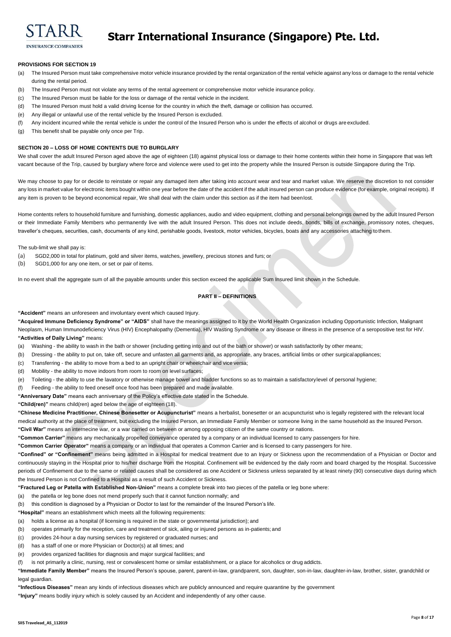

# **PROVISIONS FOR SECTION 19**

- (a) The Insured Person must take comprehensive motor vehicle insurance provided by the rental organization of the rental vehicle against any loss or damage to the rental vehicle during the rental period.
- (b) The Insured Person must not violate any terms of the rental agreement or comprehensive motor vehicle insurance policy.
- (c) The Insured Person must be liable for the loss or damage of the rental vehicle in the incident.
- (d) The Insured Person must hold a valid driving license for the country in which the theft, damage or collision has occurred.
- (e) Any illegal or unlawful use of the rental vehicle by the Insured Person is excluded.
- (f) Any incident incurred while the rental vehicle is under the control of the Insured Person who is under the effects of alcohol or drugs are excluded.
- (g) This benefit shall be payable only once per Trip.

# **SECTION 20 – LOSS OF HOME CONTENTS DUE TO BURGLARY**

We shall cover the adult Insured Person aged above the age of eighteen (18) against physical loss or damage to their home contents within their home in Singapore that was left vacant because of the Trip, caused by burglary where force and violence were used to get into the property while the Insured Person is outside Singapore during the Trip.

We may choose to pay for or decide to reinstate or repair any damaged item after taking into account wear and tear and market value. We reserve the discretion to not consider any loss in market value for electronic items bought within one year before the date of the accident if the adult insured person can produce evidence (for example, original receipts). If any item is proven to be beyond economical repair, We shall deal with the claim under this section as if the item had beenlost.

Home contents refers to household furniture and furnishing, domestic appliances, audio and video equipment, clothing and personal belongings owned by the adult Insured Person or their Immediate Family Members who permanently live with the adult Insured Person. This does not include deeds, bonds, bills of exchange, promissory notes, cheques, traveller's cheques, securities, cash, documents of any kind, perishable goods, livestock, motor vehicles, bicycles, boats and any accessories attaching tothem.

The sub-limit we shall pay is:

- (a) SGD2,000 in total for platinum, gold and silver items, watches, jewellery, precious stones and furs; or<br>(b) SGD1,000 for any one item, or set or pair of items.
- SGD1,000 for any one item, or set or pair of items.

In no event shall the aggregate sum of all the payable amounts under this section exceed the applicable Sum Insured limit shown in the Schedule.

# **PART II – DEFINITIONS**

**"Accident"** means an unforeseen and involuntary event which caused Injury.

**"Acquired Immune Deficiency Syndrome" or "AIDS"** shall have the meanings assigned to it by the World Health Organization including Opportunistic Infection, Malignant Neoplasm, Human Immunodeficiency Virus (HIV) Encephalopathy (Dementia), HIV Wasting Syndrome or any disease or illness in the presence of a seropositive test for HIV. **"Activities of Daily Living"** means:

- (a) Washing the ability to wash in the bath or shower (including getting into and out of the bath or shower) or wash satisfactorily by other means;
- (b) Dressing the ability to put on, take off, secure and unfasten all garments and, as appropriate, any braces, artificial limbs or other surgicalappliances;
- (c) Transferring the ability to move from a bed to an upright chair or wheelchair and vice versa;
- (d) Mobility the ability to move indoors from room to room on level surfaces;
- (e) Toileting the ability to use the lavatory or otherwise manage bowel and bladder functions so as to maintain a satisfactorylevel of personal hygiene;
- (f) Feeding the ability to feed oneself once food has been prepared and made available.
- **"Anniversary Date"** means each anniversary of the Policy's effective date stated in the Schedule.

**"Child(ren)"** means child(ren) aged below the age of eighteen (18).

**"Chinese Medicine Practitioner, Chinese Bonesetter or Acupuncturist"** means a herbalist, bonesetter or an acupuncturist who is legally registered with the relevant local medical authority at the place of treatment, but excluding the Insured Person, an Immediate Family Member or someone living in the same household as the Insured Person. **"Civil War"** means an internecine war, or a war carried on between or among opposing citizen of the same country or nations.

**"Common Carrier"** means any mechanically propelled conveyance operated by a company or an individual licensed to carry passengers for hire.

**"Common Carrier Operator"** means a company or an individual that operates a Common Carrier and is licensed to carry passengers for hire.

**"Confined" or "Confinement"** means being admitted in a Hospital for medical treatment due to an Injury or Sickness upon the recommendation of a Physician or Doctor and continuously staying in the Hospital prior to his/her discharge from the Hospital. Confinement will be evidenced by the daily room and board charged by the Hospital. Successive periods of Confinement due to the same or related causes shall be considered as one Accident or Sickness unless separated by at least ninety (90) consecutive days during which the Insured Person is not Confined to a Hospital as a result of such Accident or Sickness.

**"Fractured Leg or Patella with Established Non-Union"** means a complete break into two pieces of the patella or leg bone where:

- (a) the patella or leg bone does not mend properly such that it cannot function normally; and
- (b) this condition is diagnosed by a Physician or Doctor to last for the remainder of the Insured Person's life.
- **"Hospital"** means an establishment which meets all the following requirements:
- (a) holds a license as a hospital (if licensing is required in the state or governmental jurisdiction); and
- (b) operates primarily for the reception, care and treatment of sick, ailing or injured persons as in-patients; and
- (c) provides 24-hour a day nursing services by registered or graduated nurses; and
- (d) has a staff of one or more Physician or Doctor(s) at all times; and
- (e) provides organized facilities for diagnosis and major surgical facilities; and
- (f) is not primarily a clinic, nursing, rest or convalescent home or similar establishment, or a place for alcoholics or drug addicts.

**"Immediate Family Member"** means the Insured Person's spouse, parent, parent-in-law, grandparent, son, daughter, son-in-law, daughter-in-law, brother, sister, grandchild or legal guardian.

**"Infectious Diseases"** mean any kinds of infectious diseases which are publicly announced and require quarantine by the government

**"Injury"** means bodily injury which is solely caused by an Accident and independently of any other cause.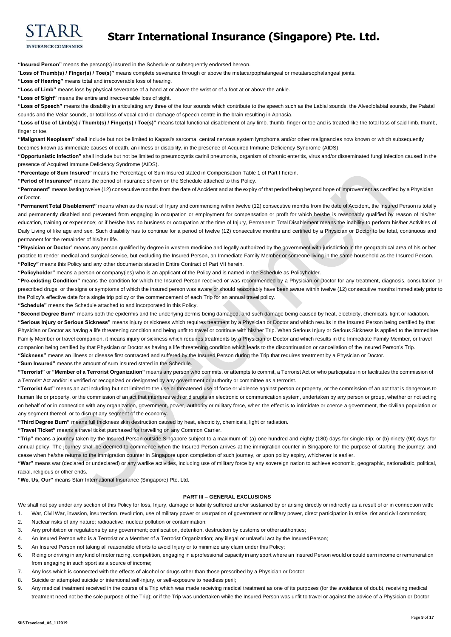

# **Starr International Insurance (Singapore) Pte. Ltd.**

**"Insured Person"** means the person(s) insured in the Schedule or subsequently endorsed hereon.

"**Loss of Thumb(s) / Finger(s) / Toe(s)"** means complete severance through or above the metacarpophalangeal or metatarsophalangeal joints.

**"Loss of Hearing"** means total and irrecoverable loss of hearing.

**"Loss of Limb"** means loss by physical severance of a hand at or above the wrist or of a foot at or above the ankle.

**"Loss of Sight"** means the entire and irrecoverable loss of sight.

**"Loss of Speech"** means the disability in articulating any three of the four sounds which contribute to the speech such as the Labial sounds, the Alveololabial sounds, the Palatal sounds and the Velar sounds, or total loss of vocal cord or damage of speech centre in the brain resulting in Aphasia.

"Loss of Use of Limb(s) / Thumb(s) / Finger(s) / Toe(s)" means total functional disablement of any limb, thumb, finger or toe and is treated like the total loss of said limb, thumb, finger or toe.

**"Malignant Neoplasm"** shall include but not be limited to Kaposi's sarcoma, central nervous system lymphoma and/or other malignancies now known or which subsequently becomes known as immediate causes of death, an illness or disability, in the presence of Acquired Immune Deficiency Syndrome (AIDS).

**"Opportunistic Infection"** shall include but not be limited to pneumocystis carinii pneumonia, organism of chronic enteritis, virus and/or disseminated fungi infection caused in the presence of Acquired Immune Deficiency Syndrome (AIDS).

**"Percentage of Sum Insured"** means the Percentage of Sum Insured stated in Compensation Table 1 of Part I herein.

**"Period of Insurance"** means the period of insurance shown on the Schedule attached to this Policy.

**"Permanent"** means lasting twelve (12) consecutive months from the date of Accident and at the expiry of that period being beyond hope of improvement as certified by a Physician or Doctor.

**"Permanent Total Disablement"** means when as the result of Injury and commencing within twelve (12) consecutive months from the date of Accident, the Insured Person is totally and permanently disabled and prevented from engaging in occupation or employment for compensation or profit for which he/she is reasonably qualified by reason of his/her education, training or experience; or if he/she has no business or occupation at the time of Injury, Permanent Total Disablement means the inability to perform his/her Activities of Daily Living of like age and sex. Such disability has to continue for a period of twelve (12) consecutive months and certified by a Physician or Doctor to be total, continuous and permanent for the remainder of his/her life.

**"Physician or Doctor**" means any person qualified by degree in western medicine and legally authorized by the government with jurisdiction in the geographical area of his or her practice to render medical and surgical service, but excluding the Insured Person, an Immediate Family Member or someone living in the same household as the Insured Person. **"Policy"** means this Policy and any other documents stated in Entire Contract of Part VII herein.

**"Policyholder"** means a person or company(ies) who is an applicant of the Policy and is named in the Schedule as Policyholder.

**"Pre-existing Condition"** means the condition for which the Insured Person received or was recommended by a Physician or Doctor for any treatment, diagnosis, consultation or prescribed drugs, or the signs or symptoms of which the insured person was aware or should reasonably have been aware within twelve (12) consecutive months immediately prior to the Policy's effective date for a single trip policy or the commencement of each Trip for an annual travel policy.

**"Schedule"** means the Schedule attached to and incorporated in this Policy.

**"Second Degree Burn"** means both the epidermis and the underlying dermis being damaged, and such damage being caused b[y heat,](http://encyclopedia.thefreedictionary.com/Heat) [electricity, c](http://encyclopedia.thefreedictionary.com/Electricity)hemicals[, light o](http://encyclopedia.thefreedictionary.com/Light)[r radiation.](http://encyclopedia.thefreedictionary.com/Radiation) **"Serious Injury or Serious Sickness"** means injury or sickness which requires treatment by a Physician or Doctor and which results in the Insured Person being certified by that Physician or Doctor as having a life threatening condition and being unfit to travel or continue with his/her Trip. When Serious Injury or Serious Sickness is applied to the Immediate Family Member or travel companion, it means injury or sickness which requires treatments by a Physician or Doctor and which results in the Immediate Family Member, or travel companion being certified by that Physician or Doctor as having a life threatening condition which leads to the discontinuation or cancellation of the Insured Person's Trip. **"Sickness"** means an illness or disease first contracted and suffered by the Insured Person during the Trip that requires treatment by a Physician or Doctor.

**"Sum Insured"** means the amount of sum insured stated in the Schedule.

**"Terrorist"** or **"Member of a Terrorist Organization"** means any person who commits, or attempts to commit, a Terrorist Act or who participates in or facilitates the commission of a Terrorist Act and/or is verified or recognized or designated by any government or authority or committee as a terrorist.

**"Terrorist Act"** means an act including but not limited to the use or threatened use of force or violence against person or property, or the commission of an act that is dangerous to human life or property, or the commission of an act that interferes with or disrupts an electronic or communication system, undertaken by any person or group, whether or not acting on behalf of or in connection with any organization, government, power, authority or military force, when the effect is to intimidate or coerce a government, the civilian population or any segment thereof, or to disrupt any segment of the economy.

**"Third Degree Burn"** means full thickness skin destruction caused b[y heat,](http://encyclopedia.thefreedictionary.com/Heat) [electricity, c](http://encyclopedia.thefreedictionary.com/Electricity)hemicals[, light o](http://encyclopedia.thefreedictionary.com/Light)[r radiation.](http://encyclopedia.thefreedictionary.com/Radiation)

**"Travel Ticket"** means a travel ticket purchased for travelling on any Common Carrier.

**"Trip"** means a journey taken by the Insured Person outside Singapore subject to a maximum of: (a) one hundred and eighty (180) days for single-trip; or (b) ninety (90) days for annual policy. The journey shall be deemed to commence when the Insured Person arrives at the immigration counter in Singapore for the purpose of starting the journey; and cease when he/she returns to the immigration counter in Singapore upon completion of such journey, or upon policy expiry, whichever is earlier.

**"War"** means war (declared or undeclared) or any warlike activities, including use of military force by any sovereign nation to achieve economic, geographic, nationalistic, political, racial, religious or other ends.

**"We, Us, Our"** means Starr International Insurance (Singapore) Pte. Ltd.

# **PART III – GENERAL EXCLUSIONS**

We shall not pay under any section of this Policy for loss, Injury, damage or liability suffered and/or sustained by or arising directly or indirectly as a result of or in connection with:

- 1. War, Civil War, invasion, insurrection, revolution, use of military power or usurpation of government or military power, direct participation in strike, riot and civil commotion;
- 2. Nuclear risks of any nature; radioactive, nuclear pollution or contamination;
- 3. Any prohibition or regulations by any government; confiscation, detention, destruction by customs or other authorities;
- 4. An Insured Person who is a Terrorist or a Member of a Terrorist Organization; any illegal or unlawful act by the InsuredPerson;
- 5. An Insured Person not taking all reasonable efforts to avoid Injury or to minimize any claim under this Policy;
- 6. Riding or driving in any kind of motor racing, competition, engaging in a professional capacity in any sport where an Insured Person would or could earn income or remuneration from engaging in such sport as a source of income;
- 7. Any loss which is connected with the effects of alcohol or drugs other than those prescribed by a Physician or Doctor;
- 8. Suicide or attempted suicide or intentional self-injury, or self-exposure to needless peril;
- 9. Any medical treatment received in the course of a Trip which was made receiving medical treatment as one of its purposes (for the avoidance of doubt, receiving medical treatment need not be the sole purpose of the Trip); or if the Trip was undertaken while the Insured Person was unfit to travel or against the advice of a Physician or Doctor;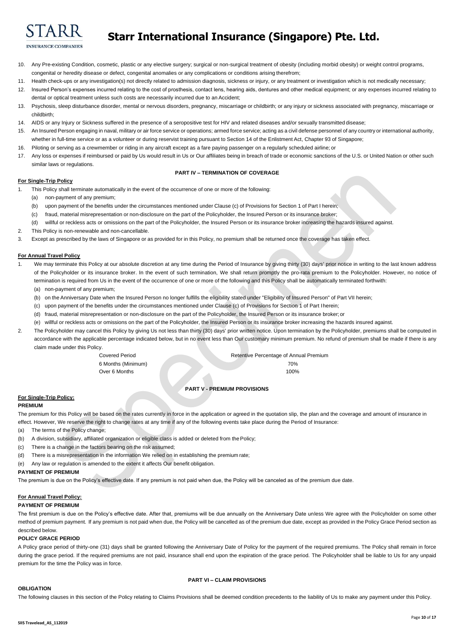

- 10. Any Pre-existing Condition, cosmetic, plastic or any elective surgery; surgical or non-surgical treatment of obesity (including morbid obesity) or weight control programs, congenital or heredity disease or defect, congenital anomalies or any complications or conditions arising therefrom;
- 11. Health check-ups or any investigation(s) not directly related to admission diagnosis, sickness or injury, or any treatment or investigation which is not medically necessary;
- 12. Insured Person's expenses incurred relating to the cost of prosthesis, contact lens, hearing aids, dentures and other medical equipment; or any expenses incurred relating to dental or optical treatment unless such costs are necessarily incurred due to an Accident;
- 13. Psychosis, sleep disturbance disorder, mental or nervous disorders, pregnancy, miscarriage or childbirth; or any injury or sickness associated with pregnancy, miscarriage or childbirth;
- 14. AIDS or any Injury or Sickness suffered in the presence of a seropositive test for HIV and related diseases and/or sexually transmitted disease;
- 15. An Insured Person engaging in naval, military or air force service or operations; armed force service; acting as a civil defense personnel of any country or international authority, whether in full-time service or as a volunteer or during reservist training pursuant to Section 14 of the Enlistment Act, Chapter 93 of Singapore;
- 16. Piloting or serving as a crewmember or riding in any aircraft except as a fare paying passenger on a regularly scheduled airline; or
- 17. Any loss or expenses if reimbursed or paid by Us would result in Us or Our affiliates being in breach of trade or economic sanctions of the U.S. or United Nation or other such similar laws or regulations.

# **PART IV – TERMINATION OF COVERAGE**

# **For Single-Trip Policy**

- 1. This Policy shall terminate automatically in the event of the occurrence of one or more of the following:
	- (a) non-payment of any premium;
	- (b) upon payment of the benefits under the circumstances mentioned under Clause (c) of Provisions for Section 1 of Part I herein;
	- (c) fraud, material misrepresentation or non-disclosure on the part of the Policyholder, the Insured Person or its insurance broker;
	- (d) willful or reckless acts or omissions on the part of the Policyholder, the Insured Person or its insurance broker increasing the hazards insured against.
- 2. This Policy is non-renewable and non-cancellable.
- 3. Except as prescribed by the laws of Singapore or as provided for in this Policy, no premium shall be returned once the coverage has taken effect.

#### **For Annual Travel Policy**

- 1. We may terminate this Policy at our absolute discretion at any time during the Period of Insurance by giving thirty (30) days' prior notice in writing to the last known address of the Policyholder or its insurance broker. In the event of such termination, We shall return promptly the pro-rata premium to the Policyholder. However, no notice of termination is required from Us in the event of the occurrence of one or more of the following and this Policy shall be automatically terminated forthwith:
	- (a) non-payment of any premium;
	- (b) on the Anniversary Date when the Insured Person no longer fulfills the eligibility stated under "Eligibility of Insured Person" of Part VII herein;
	- (c) upon payment of the benefits under the circumstances mentioned under Clause (c) of Provisions for Section 1 of Part Iherein;
	- (d) fraud, material misrepresentation or non-disclosure on the part of the Policyholder, the Insured Person or its insurance broker; or
	- (e) willful or reckless acts or omissions on the part of the Policyholder, the Insured Person or its insurance broker increasing the hazards insured against.
- 2. The Policyholder may cancel this Policy by giving Us not less than thirty (30) days' prior written notice. Upon termination by the Policyholder, premiums shall be computed in accordance with the applicable percentage indicated below, but in no event less than Our customary minimum premium. No refund of premium shall be made if there is any claim made under this Policy.

Over 6 Months 100%

Covered Period Retentive Percentage of Annual Premium 6 Months (Minimum) 70%

# **PART V - PREMIUM PROVISIONS**

# **For Single-Trip Policy:**

#### **PREMIUM**

The premium for this Policy will be based on the rates currently in force in the application or agreed in the quotation slip, the plan and the coverage and amount of insurance in effect. However, We reserve the right to change rates at any time if any of the following events take place during the Period of Insurance:

- (a) The terms of the Policy change;
- (b) A division, subsidiary, affiliated organization or eligible class is added or deleted from thePolicy;
- (c) There is a change in the factors bearing on the risk assumed;
- (d) There is a misrepresentation in the information We relied on in establishing the premium rate;
- (e) Any law or regulation is amended to the extent it affects Our benefit obligation.

#### **PAYMENT OF PREMIUM**

The premium is due on the Policy's effective date. If any premium is not paid when due, the Policy will be canceled as of the premium due date.

# **For Annual Travel Policy:**

#### **PAYMENT OF PREMIUM**

The first premium is due on the Policy's effective date. After that, premiums will be due annually on the Anniversary Date unless We agree with the Policyholder on some other method of premium payment. If any premium is not paid when due, the Policy will be cancelled as of the premium due date, except as provided in the Policy Grace Period section as described below.

#### **POLICY GRACE PERIOD**

A Policy grace period of thirty-one (31) days shall be granted following the Anniversary Date of Policy for the payment of the required premiums. The Policy shall remain in force during the grace period. If the required premiums are not paid, insurance shall end upon the expiration of the grace period. The Policyholder shall be liable to Us for any unpaid premium for the time the Policy was in force.

# **PART VI – CLAIM PROVISIONS**

# **OBLIGATION**

The following clauses in this section of the Policy relating to Claims Provisions shall be deemed condition precedents to the liability of Us to make any payment under this Policy.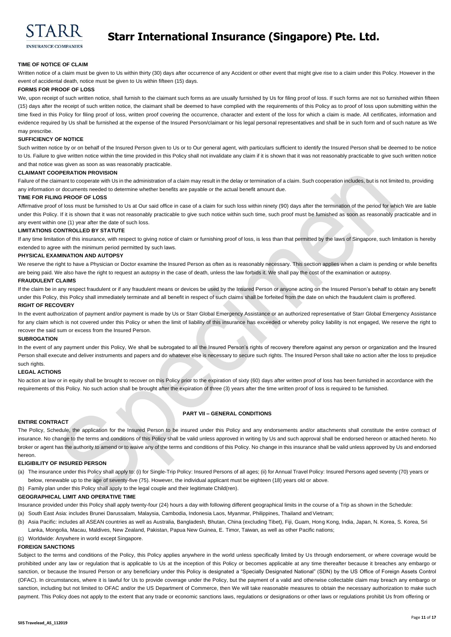

# **Starr International Insurance (Singapore) Pte. Ltd.**

# **TIME OF NOTICE OF CLAIM**

Written notice of a claim must be given to Us within thirty (30) days after occurrence of any Accident or other event that might give rise to a claim under this Policy. However in the event of accidental death, notice must be given to Us within fifteen (15) days.

#### **FORMS FOR PROOF OF LOSS**

We, upon receipt of such written notice, shall furnish to the claimant such forms as are usually furnished by Us for filing proof of loss. If such forms are not so furnished within fifteen (15) days after the receipt of such written notice, the claimant shall be deemed to have complied with the requirements of this Policy as to proof of loss upon submitting within the time fixed in this Policy for filing proof of loss, written proof covering the occurrence, character and extent of the loss for which a claim is made. All certificates, information and evidence required by Us shall be furnished at the expense of the Insured Person/claimant or his legal personal representatives and shall be in such form and of such nature as We may prescribe.

#### **SUFFICIENCY OF NOTICE**

Such written notice by or on behalf of the Insured Person given to Us or to Our general agent, with particulars sufficient to identify the Insured Person shall be deemed to be notice to Us. Failure to give written notice within the time provided in this Policy shall not invalidate any claim if it is shown that it was not reasonably practicable to give such written notice and that notice was given as soon as was reasonably practicable.

# **CLAIMANT COOPERATION PROVISION**

Failure of the claimant to cooperate with Us in the administration of a claim may result in the delay or termination of a claim. Such cooperation includes, but is not limited to, providing any information or documents needed to determine whether benefits are payable or the actual benefit amount due.

# **TIME FOR FILING PROOF OF LOSS**

Affirmative proof of loss must be furnished to Us at Our said office in case of a claim for such loss within ninety (90) days after the termination of the period for which We are liable under this Policy. If it is shown that it was not reasonably practicable to give such notice within such time, such proof must be furnished as soon as reasonably practicable and in any event within one (1) year after the date of such loss.

#### **LIMITATIONS CONTROLLED BY STATUTE**

If any time limitation of this insurance, with respect to giving notice of claim or furnishing proof of loss, is less than that permitted by the laws of Singapore, such limitation is hereby extended to agree with the minimum period permitted by such laws.

#### **PHYSICAL EXAMINATION AND AUTOPSY**

We reserve the right to have a Physician or Doctor examine the Insured Person as often as is reasonably necessary. This section applies when a claim is pending or while benefits are being paid. We also have the right to request an autopsy in the case of death, unless the law forbids it. We shall pay the cost of the examination or autopsy.

# **FRAUDULENT CLAIMS**

If the claim be in any respect fraudulent or if any fraudulent means or devices be used by the Insured Person or anyone acting on the Insured Person's behalf to obtain any benefit under this Policy, this Policy shall immediately terminate and all benefit in respect of such claims shall be forfeited from the date on which the fraudulent claim is proffered. **RIGHT OF RECOVERY**

In the event authorization of payment and/or payment is made by Us or Starr Global Emergency Assistance or an authorized representative of Starr Global Emergency Assistance for any claim which is not covered under this Policy or when the limit of liability of this insurance has exceeded or whereby policy liability is not engaged, We reserve the right to recover the said sum or excess from the Insured Person.

#### **SUBROGATION**

In the event of any payment under this Policy, We shall be subrogated to all the Insured Person's rights of recovery therefore against any person or organization and the Insured Person shall execute and deliver instruments and papers and do whatever else is necessary to secure such rights. The Insured Person shall take no action after the loss to prejudice such rights.

#### **LEGAL ACTIONS**

No action at law or in equity shall be brought to recover on this Policy prior to the expiration of sixty (60) days after written proof of loss has been furnished in accordance with the requirements of this Policy. No such action shall be brought after the expiration of three (3) years after the time written proof of loss is required to be furnished.

# **PART VII – GENERAL CONDITIONS**

#### **ENTIRE CONTRACT**

The Policy, Schedule, the application for the Insured Person to be insured under this Policy and any endorsements and/or attachments shall constitute the entire contract of insurance. No change to the terms and conditions of this Policy shall be valid unless approved in writing by Us and such approval shall be endorsed hereon or attached hereto. No broker or agent has the authority to amend or to waive any of the terms and conditions of this Policy. No change in this insurance shall be valid unless approved by Us and endorsed hereon.

### **ELIGIBILITY OF INSURED PERSON**

- (a) The insurance under this Policy shall apply to: (i) for Single-Trip Policy: Insured Persons of all ages; (ii) for Annual Travel Policy: Insured Persons aged seventy (70) years or below, renewable up to the age of seventy-five (75). However, the individual applicant must be eighteen (18) years old or above.
- (b) Family plan under this Policy shall apply to the legal couple and their legitimate Child(ren).

#### **GEOGRAPHICAL LIMIT AND OPERATIVE TIME**

Insurance provided under this Policy shall apply twenty-four (24) hours a day with following different geographical limits in the course of a Trip as shown in the Schedule:

- (a) South East Asia: includes Brunei Darussalam, Malaysia, Cambodia, Indonesia Laos, Myanmar, Philippines, Thailand and Vietnam;
- (b) Asia Pacific: includes all ASEAN countries as well as Australia, Bangladesh, Bhutan, China (excluding Tibet), Fiji, Guam, Hong Kong, India, Japan, N. Korea, S. Korea, Sri Lanka, Mongolia, Macau, Maldives, New Zealand, Pakistan, Papua New Guinea, E. Timor, Taiwan, as well as other Pacific nations;
- (c) Worldwide: Anywhere in world except Singapore.

# **FOREIGN SANCTIONS**

Subject to the terms and conditions of the Policy, this Policy applies anywhere in the world unless specifically limited by Us through endorsement, or where coverage would be prohibited under any law or regulation that is applicable to Us at the inception of this Policy or becomes applicable at any time thereafter because it breaches any embargo or sanction, or because the Insured Person or any beneficiary under this Policy is designated a "Specially Designated National" (SDN) by the US Office of Foreign Assets Control (OFAC). In circumstances, where it is lawful for Us to provide coverage under the Policy, but the payment of a valid and otherwise collectable claim may breach any embargo or sanction, including but not limited to OFAC and/or the US Department of Commerce, then We will take reasonable measures to obtain the necessary authorization to make such payment. This Policy does not apply to the extent that any trade or economic sanctions laws, regulations or designations or other laws or regulations prohibit Us from offering or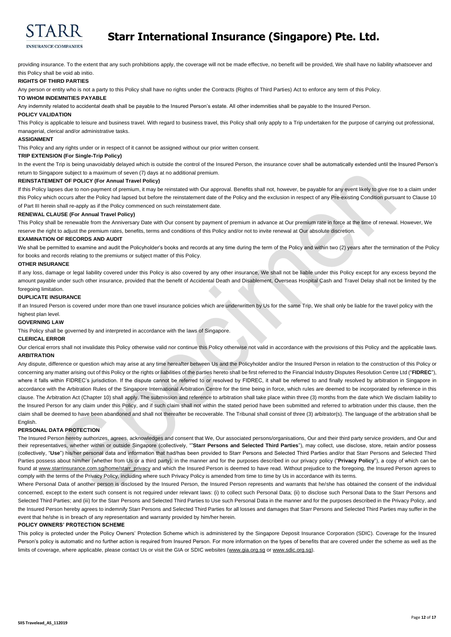

# **Starr International Insurance (Singapore) Pte. Ltd.**

providing insurance. To the extent that any such prohibitions apply, the coverage will not be made effective, no benefit will be provided, We shall have no liability whatsoever and this Policy shall be void ab initio.

# **RIGHTS OF THIRD PARTIES**

Any person or entity who is not a party to this Policy shall have no rights under the Contracts (Rights of Third Parties) Act to enforce any term of this Policy.

# **TO WHOM INDEMNITIES PAYABLE**

Any indemnity related to accidental death shall be payable to the Insured Person's estate. All other indemnities shall be payable to the Insured Person.

#### **POLICY VALIDATION**

This Policy is applicable to leisure and business travel. With regard to business travel, this Policy shall only apply to a Trip undertaken for the purpose of carrying out professional, managerial, clerical and/or administrative tasks.

#### **ASSIGNMENT**

This Policy and any rights under or in respect of it cannot be assigned without our prior written consent.

# **TRIP EXTENSION (For Single-Trip Policy)**

In the event the Trip is being unavoidably delayed which is outside the control of the Insured Person, the insurance cover shall be automatically extended until the Insured Person's return to Singapore subject to a maximum of seven (7) days at no additional premium.

# **REINSTATEMENT OF POLICY (For Annual Travel Policy)**

If this Policy lapses due to non-payment of premium, it may be reinstated with Our approval. Benefits shall not, however, be payable for any event likely to give rise to a claim under this Policy which occurs after the Policy had lapsed but before the reinstatement date of the Policy and the exclusion in respect of any Pre-existing Condition pursuant to Clause 10 of Part III herein shall re-apply as if the Policy commenced on such reinstatement date.

#### **RENEWAL CLAUSE (For Annual Travel Policy)**

This Policy shall be renewable from the Anniversary Date with Our consent by payment of premium in advance at Our premium rate in force at the time of renewal. However, We reserve the right to adjust the premium rates, benefits, terms and conditions of this Policy and/or not to invite renewal at Our absolute discretion.

#### **EXAMINATION OF RECORDS AND AUDIT**

We shall be permitted to examine and audit the Policyholder's books and records at any time during the term of the Policy and within two (2) years after the termination of the Policy for books and records relating to the premiums or subject matter of this Policy.

#### **OTHER INSURANCE**

If any loss, damage or legal liability covered under this Policy is also covered by any other insurance, We shall not be liable under this Policy except for any excess beyond the amount payable under such other insurance, provided that the benefit of Accidental Death and Disablement, Overseas Hospital Cash and Travel Delay shall not be limited by the foregoing limitation.

### **DUPLICATE INSURANCE**

If an Insured Person is covered under more than one travel insurance policies which are underwritten by Us for the same Trip, We shall only be liable for the travel policy with the highest plan level.

#### **GOVERNING LAW**

This Policy shall be governed by and interpreted in accordance with the laws of Singapore.

#### **CLERICAL ERROR**

Our clerical errors shall not invalidate this Policy otherwise valid nor continue this Policy otherwise not valid in accordance with the provisions of this Policy and the applicable laws. **ARBITRATION**

# Any dispute, difference or question which may arise at any time hereafter between Us and the Policyholder and/or the Insured Person in relation to the construction of this Policy or concerning any matter arising out of this Policy or the rights or liabilities of the parties hereto shall be first referred to the Financial Industry Disputes Resolution Centre Ltd ("**FIDREC**"), where it falls within FIDREC's jurisdiction. If the dispute cannot be referred to or resolved by FIDREC, it shall be referred to and finally resolved by arbitration in Singapore in accordance with the Arbitration Rules of the Singapore International Arbitration Centre for the time being in force, which rules are deemed to be incorporated by reference in this clause. The Arbitration Act (Chapter 10) shall apply. The submission and reference to arbitration shall take place within three (3) months from the date which We disclaim liability to the Insured Person for any claim under this Policy, and if such claim shall not within the stated period have been submitted and referred to arbitration under this clause, then the claim shall be deemed to have been abandoned and shall not thereafter be recoverable. The Tribunal shall consist of three (3) arbitrator(s). The language of the arbitration shall be **English**

# **PERSONAL DATA PROTECTION**

The Insured Person hereby authorizes, agrees, acknowledges and consent that We, Our associated persons/organisations, Our and their third party service providers, and Our and their representatives, whether within or outside Singapore (collectively, ""**Starr Persons and Selected Third Parties**"), may collect, use disclose, store, retain and/or possess (collectively, "**Use**") his/her personal data and information that had/has been provided to Starr Persons and Selected Third Parties and/or that Starr Persons and Selected Third Parties possess about him/her (whether from Us or a third party), in the manner and for the purposes described in our privacy policy ("**Privacy Policy**"), a copy of which can be found a[t www.starrinsurance.com.sg/home/starr\\_privacy](http://www.starrinsurance.com.sg/home/starr_privacy) and which the Insured Person is deemed to have read. Without prejudice to the foregoing, the Insured Person agrees to comply with the terms of the Privacy Policy, including where such Privacy Policy is amended from time to time by Us in accordance with its terms.

Where Personal Data of another person is disclosed by the Insured Person, the Insured Person represents and warrants that he/she has obtained the consent of the individual concerned, except to the extent such consent is not required under relevant laws: (i) to collect such Personal Data; (ii) to disclose such Personal Data to the Starr Persons and Selected Third Parties; and (iii) for the Starr Persons and Selected Third Parties to Use such Personal Data in the manner and for the purposes described in the Privacy Policy, and the Insured Person hereby agrees to indemnify Starr Persons and Selected Third Parties for all losses and damages that Starr Persons and Selected Third Parties may suffer in the event that he/she is in breach of any representation and warranty provided by him/her herein.

#### **POLICY OWNERS' PROTECTION SCHEME**

This policy is protected under the Policy Owners' Protection Scheme which is administered by the Singapore Deposit Insurance Corporation (SDIC). Coverage for the Insured Person's policy is automatic and no further action is required from Insured Person. For more information on the types of benefits that are covered under the scheme as well as the limits of coverage, where applicable, please contact Us or visit the GIA or SDIC websites [\(www.gia.org.sg](http://www.gia.org.sg/) or www.sdic.org.sg).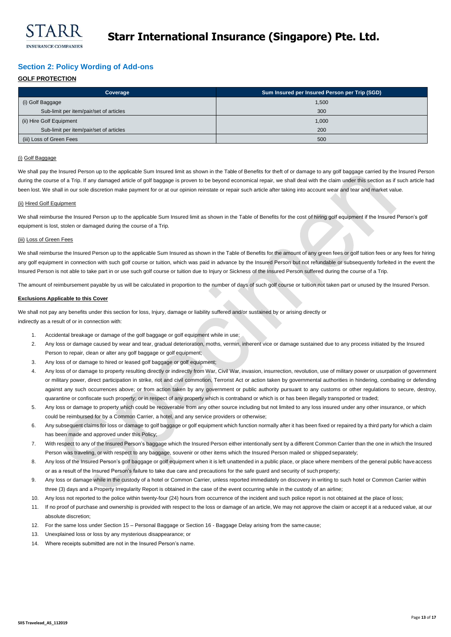

# <span id="page-16-0"></span>**Section 2: Policy Wording of Add-ons**

# **GOLF PROTECTION**

| Coverage                                | Sum Insured per Insured Person per Trip (SGD) |
|-----------------------------------------|-----------------------------------------------|
| (i) Golf Baggage                        | 1,500                                         |
| Sub-limit per item/pair/set of articles | 300                                           |
| (ii) Hire Golf Equipment                | 1,000                                         |
| Sub-limit per item/pair/set of articles | 200                                           |
| (iii) Loss of Green Fees                | 500                                           |

# (i) Golf Baggage

We shall pay the Insured Person up to the applicable Sum Insured limit as shown in the Table of Benefits for theft of or damage to any golf baggage carried by the Insured Person during the course of a Trip. If any damaged article of golf baggage is proven to be beyond economical repair, we shall deal with the claim under this section as if such article had been lost. We shall in our sole discretion make payment for or at our opinion reinstate or repair such article after taking into account wear and tear and market value.

# (ii) Hired Golf Equipment

We shall reimburse the Insured Person up to the applicable Sum Insured limit as shown in the Table of Benefits for the cost of hiring golf equipment if the Insured Person's golf equipment is lost, stolen or damaged during the course of a Trip.

# (iii) Loss of Green Fees

We shall reimburse the Insured Person up to the applicable Sum Insured as shown in the Table of Benefits for the amount of any green fees or golf tuition fees or any fees for hiring any golf equipment in connection with such golf course or tuition, which was paid in advance by the Insured Person but not refundable or subsequently forfeited in the event the Insured Person is not able to take part in or use such golf course or tuition due to Injury or Sickness of the Insured Person suffered during the course of a Trip.

The amount of reimbursement payable by us will be calculated in proportion to the number of days of such golf course or tuition not taken part or unused by the Insured Person.

# **Exclusions Applicable to this Cover**

We shall not pay any benefits under this section for loss, Injury, damage or liability suffered and/or sustained by or arising directly or indirectly as a result of or in connection with:

- 1. Accidental breakage or damage of the golf baggage or golf equipment while in use;
- 2. Any loss or damage caused by wear and tear, gradual deterioration, moths, vermin, inherent vice or damage sustained due to any process initiated by the Insured Person to repair, clean or alter any golf baggage or golf equipment;
- 3. Any loss of or damage to hired or leased golf baggage or golf equipment;
- 4. Any loss of or damage to property resulting directly or indirectly from War, Civil War, invasion, insurrection, revolution, use of military power or usurpation of government or military power, direct participation in strike, riot and civil commotion, Terrorist Act or action taken by governmental authorities in hindering, combating or defending against any such occurrences above; or from action taken by any government or public authority pursuant to any customs or other regulations to secure, destroy, quarantine or confiscate such property; or in respect of any property which is contraband or which is or has been illegally transported or traded;
- 5. Any loss or damage to property which could be recoverable from any other source including but not limited to any loss insured under any other insurance, or which could be reimbursed for by a Common Carrier, a hotel, and any service providers or otherwise;
- 6. Any subsequent claims for loss or damage to golf baggage or golf equipment which function normally after it has been fixed or repaired by a third party for which a claim has been made and approved under this Policy;
- 7. With respect to any of the Insured Person's baggage which the Insured Person either intentionally sent by a different Common Carrier than the one in which the Insured Person was traveling, or with respect to any baggage, souvenir or other items which the Insured Person mailed or shippedseparately;
- 8. Any loss of the Insured Person's golf baggage or golf equipment when it is left unattended in a public place, or place where members of the general public have access or as a result of the Insured Person's failure to take due care and precautions for the safe guard and security of such property;
- 9. Any loss or damage while in the custody of a hotel or Common Carrier, unless reported immediately on discovery in writing to such hotel or Common Carrier within three (3) days and a Property Irregularity Report is obtained in the case of the event occurring while in the custody of an airline;
- 10. Any loss not reported to the police within twenty-four (24) hours from occurrence of the incident and such police report is not obtained at the place of loss;
- 11. If no proof of purchase and ownership is provided with respect to the loss or damage of an article, We may not approve the claim or accept it at a reduced value, at our absolute discretion;
- 12. For the same loss under Section 15 Personal Baggage or Section 16 Baggage Delay arising from the same cause;
- 13. Unexplained loss or loss by any mysterious disappearance; or
- 14. Where receipts submitted are not in the Insured Person's name.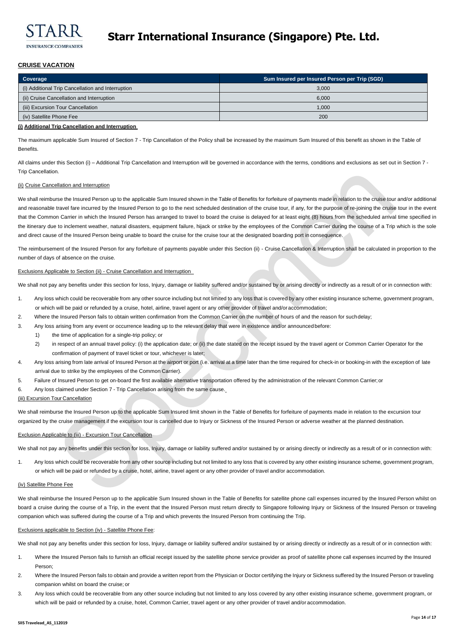

# **CRUISE VACATION**

| Coverage                                          | Sum Insured per Insured Person per Trip (SGD) |
|---------------------------------------------------|-----------------------------------------------|
| (i) Additional Trip Cancellation and Interruption | 3,000                                         |
| (ii) Cruise Cancellation and Interruption         | 6,000                                         |
| (iii) Excursion Tour Cancellation                 | 1.000                                         |
| (iv) Satellite Phone Fee                          | 200                                           |

# **(i) Additional Trip Cancellation and Interruption**

The maximum applicable Sum Insured of Section 7 - Trip Cancellation of the Policy shall be increased by the maximum Sum Insured of this benefit as shown in the Table of **Benefits** 

All claims under this Section (i) - Additional Trip Cancellation and Interruption will be governed in accordance with the terms, conditions and exclusions as set out in Section 7 -Trip Cancellation.

# (ii) Cruise Cancellation and Interruption

We shall reimburse the Insured Person up to the applicable Sum Insured shown in the Table of Benefits for forfeiture of payments made in relation to the cruise tour and/or additional and reasonable travel fare incurred by the Insured Person to go to the next scheduled destination of the cruise tour, if any, for the purpose of re-joining the cruise tour in the event that the Common Carrier in which the Insured Person has arranged to travel to board the cruise is delayed for at least eight (8) hours from the scheduled arrival time specified in the itinerary due to inclement weather, natural disasters, equipment failure, hijack or strike by the employees of the Common Carrier during the course of a Trip which is the sole and direct cause of the Insured Person being unable to board the cruise for the cruise tour at the designated boarding port in consequence.

The reimbursement of the Insured Person for any forfeiture of payments payable under this Section (ii) - Cruise Cancellation & Interruption shall be calculated in proportion to the number of days of absence on the cruise.

# Exclusions Applicable to Section (ii) - Cruise Cancellation and Interruption

We shall not pay any benefits under this section for loss, Injury, damage or liability suffered and/or sustained by or arising directly or indirectly as a result of or in connection with:

- 1. Any loss which could be recoverable from any other source including but not limited to any loss that is covered by any other existing insurance scheme, government program, or which will be paid or refunded by a cruise, hotel, airline, travel agent or any other provider of travel and/or accommodation;
- 2. Where the Insured Person fails to obtain written confirmation from the Common Carrier on the number of hours of and the reason for suchdelay;
- 3. Any loss arising from any event or occurrence leading up to the relevant delay that were in existence and/or announced before:
	- 1) the time of application for a single-trip policy; or
	- 2) in respect of an annual travel policy: (i) the application date; or (ii) the date stated on the receipt issued by the travel agent or Common Carrier Operator for the confirmation of payment of travel ticket or tour, whichever is later;
- 4. Any loss arising from late arrival of Insured Person at the airport or port (i.e. arrival at a time later than the time required for check-in or booking-in with the exception of late arrival due to strike by the employees of the Common Carrier).
- 5. Failure of Insured Person to get on-board the first available alternative transportation offered by the administration of the relevant Common Carrier;or
- 6. Any loss claimed under Section 7 Trip Cancellation arising from the same cause.

#### (iii) Excursion Tour Cancellation

We shall reimburse the Insured Person up to the applicable Sum Insured limit shown in the Table of Benefits for forfeiture of payments made in relation to the excursion tour organized by the cruise management if the excursion tour is cancelled due to Injury or Sickness of the Insured Person or adverse weather at the planned destination.

# Exclusion Applicable to (iii) - Excursion Tour Cancellation

We shall not pay any benefits under this section for loss, Injury, damage or liability suffered and/or sustained by or arising directly or indirectly as a result of or in connection with:

1. Any loss which could be recoverable from any other source including but not limited to any loss that is covered by any other existing insurance scheme, government program, or which will be paid or refunded by a cruise, hotel, airline, travel agent or any other provider of travel and/or accommodation.

# (iv) Satellite Phone Fee

We shall reimburse the Insured Person up to the applicable Sum Insured shown in the Table of Benefits for satellite phone call expenses incurred by the Insured Person whilst on board a cruise during the course of a Trip, in the event that the Insured Person must return directly to Singapore following Injury or Sickness of the Insured Person or traveling companion which was suffered during the course of a Trip and which prevents the Insured Person from continuing the Trip.

#### Exclusions applicable to Section (iv) - Satellite Phone Fee:

We shall not pay any benefits under this section for loss, Injury, damage or liability suffered and/or sustained by or arising directly or indirectly as a result of or in connection with:

- 1. Where the Insured Person fails to furnish an official receipt issued by the satellite phone service provider as proof of satellite phone call expenses incurred by the Insured Person;
- 2. Where the Insured Person fails to obtain and provide a written report from the Physician or Doctor certifying the Injury or Sickness suffered by the Insured Person or traveling companion whilst on board the cruise; or
- 3. Any loss which could be recoverable from any other source including but not limited to any loss covered by any other existing insurance scheme, government program, or which will be paid or refunded by a cruise, hotel, Common Carrier, travel agent or any other provider of travel and/or accommodation.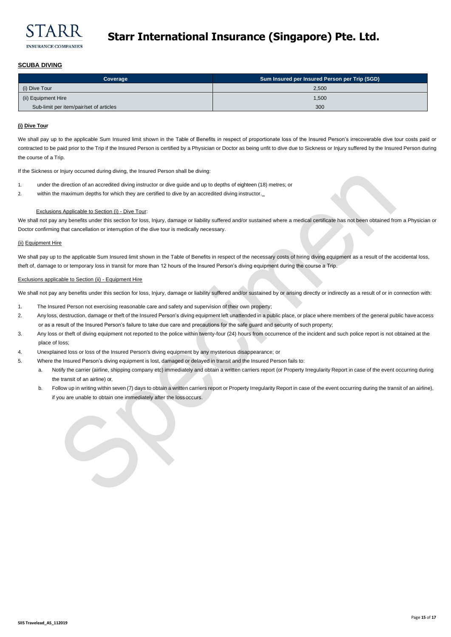

# **Starr International Insurance (Singapore) Pte. Ltd.**

# **SCUBA DIVING**

| Coverage                                | Sum Insured per Insured Person per Trip (SGD) |
|-----------------------------------------|-----------------------------------------------|
| (i) Dive Tour                           | 2,500                                         |
| (ii) Equipment Hire                     | 1,500                                         |
| Sub-limit per item/pair/set of articles | 300                                           |

# **(i) Dive Tour**

We shall pay up to the applicable Sum Insured limit shown in the Table of Benefits in respect of proportionate loss of the Insured Person's irrecoverable dive tour costs paid or contracted to be paid prior to the Trip if the Insured Person is certified by a Physician or Doctor as being unfit to dive due to Sickness or Injury suffered by the Insured Person during the course of a Trip.

If the Sickness or Injury occurred during diving, the Insured Person shall be diving:

- 1. under the direction of an accredited diving instructor or dive guide and up to depths of eighteen (18) metres; or
- 2. within the maximum depths for which they are certified to dive by an accredited diving instructor.

# Exclusions Applicable to Section (i) - Dive Tour:

We shall not pay any benefits under this section for loss, Injury, damage or liability suffered and/or sustained where a medical certificate has not been obtained from a Physician or Doctor confirming that cancellation or interruption of the dive tour is medically necessary.

# (ii) Equipment Hire

We shall pay up to the applicable Sum Insured limit shown in the Table of Benefits in respect of the necessary costs of hiring diving equipment as a result of the accidental loss, theft of, damage to or temporary loss in transit for more than 12 hours of the Insured Person's diving equipment during the course a Trip.

# Exclusions applicable to Section (ii) - Equipment Hire

We shall not pay any benefits under this section for loss, Injury, damage or liability suffered and/or sustained by or arising directly or indirectly as a result of or in connection with:

- 1. The Insured Person not exercising reasonable care and safety and supervision of their own property;
- 2. Any loss, destruction, damage or theft of the Insured Person's diving equipment left unattended in a public place, or place where members of the general public have access or as a result of the Insured Person's failure to take due care and precautions for the safe guard and security of such property;
- 3. Any loss or theft of diving equipment not reported to the police within twenty-four (24) hours from occurrence of the incident and such police report is not obtained at the place of loss;
- 4. Unexplained loss or loss of the Insured Person's diving equipment by any mysterious disappearance; or
- 5. Where the Insured Person's diving equipment is lost, damaged or delayed in transit and the Insured Person fails to:
	- a. Notify the carrier (airline, shipping company etc) immediately and obtain a written carriers report (or Property Irregularity Report in case of the event occurring during the transit of an airline) or,
	- b. Follow up in writing within seven (7) days to obtain a written carriers report or Property Irregularity Report in case of the event occurring during the transit of an airline), if you are unable to obtain one immediately after the lossoccurs.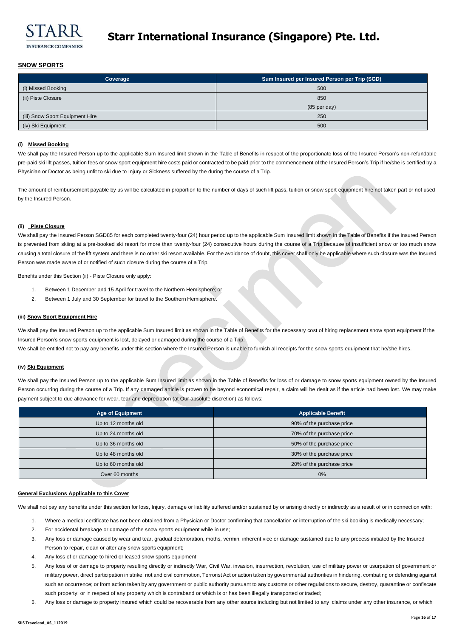

# **SNOW SPORTS**

| Coverage                        | Sum Insured per Insured Person per Trip (SGD) |
|---------------------------------|-----------------------------------------------|
| (i) Missed Booking              | 500                                           |
| (ii) Piste Closure              | 850                                           |
|                                 | $(85 \text{ per day})$                        |
| (iii) Snow Sport Equipment Hire | 250                                           |
| (iv) Ski Equipment              | 500                                           |

# **(i) Missed Booking**

We shall pay the Insured Person up to the applicable Sum Insured limit shown in the Table of Benefits in respect of the proportionate loss of the Insured Person's non-refundable pre-paid ski lift passes, tuition fees or snow sport equipment hire costs paid or contracted to be paid prior to the commencement of the Insured Person's Trip if he/she is certified by a Physician or Doctor as being unfit to ski due to Injury or Sickness suffered by the during the course of a Trip.

The amount of reimbursement payable by us will be calculated in proportion to the number of days of such lift pass, tuition or snow sport equipment hire not taken part or not used by the Insured Person.

# **(ii) Piste Closure**

We shall pay the Insured Person SGD85 for each completed twenty-four (24) hour period up to the applicable Sum Insured limit shown in the Table of Benefits if the Insured Person is prevented from skiing at a pre-booked ski resort for more than twenty-four (24) consecutive hours during the course of a Trip because of insufficient snow or too much snow causing a total closure of the lift system and there is no other ski resort available. For the avoidance of doubt, this cover shall only be applicable where such closure was the Insured Person was made aware of or notified of such closure during the course of a Trip.

Benefits under this Section (ii) - Piste Closure only apply:

- 1. Between 1 December and 15 April for travel to the Northern Hemisphere; or
- 2. Between 1 July and 30 September for travel to the Southern Hemisphere.

# **(iii) Snow Sport Equipment Hire**

We shall pay the Insured Person up to the applicable Sum Insured limit as shown in the Table of Benefits for the necessary cost of hiring replacement snow sport equipment if the Insured Person's snow sports equipment is lost, delayed or damaged during the course of a Trip.

We shall be entitled not to pay any benefits under this section where the Insured Person is unable to furnish all receipts for the snow sports equipment that he/she hires.

# **(iv) Ski Equipment**

We shall pay the Insured Person up to the applicable Sum Insured limit as shown in the Table of Benefits for loss of or damage to snow sports equipment owned by the Insured Person occurring during the course of a Trip. If any damaged article is proven to be beyond economical repair, a claim will be dealt as if the article had been lost. We may make payment subject to due allowance for wear, tear and depreciation (at Our absolute discretion) as follows:

| <b>Age of Equipment</b> | <b>Applicable Benefit</b> |
|-------------------------|---------------------------|
| Up to 12 months old     | 90% of the purchase price |
| Up to 24 months old     | 70% of the purchase price |
| Up to 36 months old     | 50% of the purchase price |
| Up to 48 months old     | 30% of the purchase price |
| Up to 60 months old     | 20% of the purchase price |
| Over 60 months          | 0%                        |

# **General Exclusions Applicable to this Cover**

We shall not pay any benefits under this section for loss, Injury, damage or liability suffered and/or sustained by or arising directly or indirectly as a result of or in connection with:

- 1. Where a medical certificate has not been obtained from a Physician or Doctor confirming that cancellation or interruption of the ski booking is medically necessary;
- 2. For accidental breakage or damage of the snow sports equipment while in use;
- 3. Any loss or damage caused by wear and tear, gradual deterioration, moths, vermin, inherent vice or damage sustained due to any process initiated by the Insured Person to repair, clean or alter any snow sports equipment;
- 4. Any loss of or damage to hired or leased snow sports equipment;
- 5. Any loss of or damage to property resulting directly or indirectly War, Civil War, invasion, insurrection, revolution, use of military power or usurpation of government or military power, direct participation in strike, riot and civil commotion, Terrorist Act or action taken by governmental authorities in hindering, combating or defending against such an occurrence; or from action taken by any government or public authority pursuant to any customs or other regulations to secure, destroy, quarantine or confiscate such property; or in respect of any property which is contraband or which is or has been illegally transported or traded;
- 6. Any loss or damage to property insured which could be recoverable from any other source including but not limited to any claims under any other insurance, or which